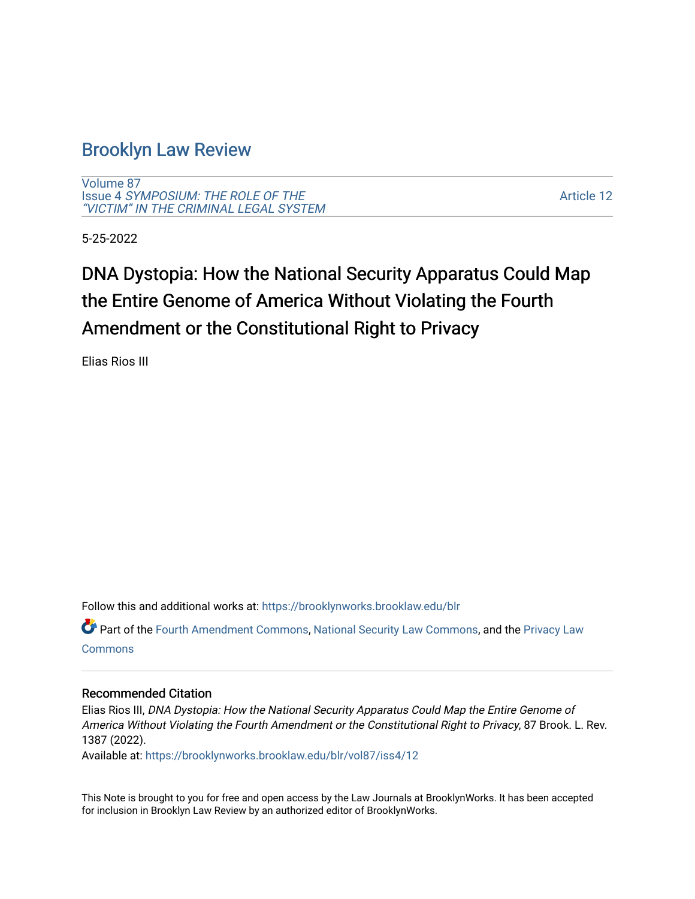## [Brooklyn Law Review](https://brooklynworks.brooklaw.edu/blr)

[Volume 87](https://brooklynworks.brooklaw.edu/blr/vol87) Issue 4 [SYMPOSIUM: THE ROLE OF THE](https://brooklynworks.brooklaw.edu/blr/vol87/iss4) ["VICTIM" IN THE CRIMINAL LEGAL SYSTEM](https://brooklynworks.brooklaw.edu/blr/vol87/iss4)

[Article 12](https://brooklynworks.brooklaw.edu/blr/vol87/iss4/12) 

5-25-2022

# DNA Dystopia: How the National Security Apparatus Could Map the Entire Genome of America Without Violating the Fourth Amendment or the Constitutional Right to Privacy

Elias Rios III

Follow this and additional works at: [https://brooklynworks.brooklaw.edu/blr](https://brooklynworks.brooklaw.edu/blr?utm_source=brooklynworks.brooklaw.edu%2Fblr%2Fvol87%2Fiss4%2F12&utm_medium=PDF&utm_campaign=PDFCoverPages) 

Part of the [Fourth Amendment Commons,](https://network.bepress.com/hgg/discipline/1180?utm_source=brooklynworks.brooklaw.edu%2Fblr%2Fvol87%2Fiss4%2F12&utm_medium=PDF&utm_campaign=PDFCoverPages) [National Security Law Commons](https://network.bepress.com/hgg/discipline/1114?utm_source=brooklynworks.brooklaw.edu%2Fblr%2Fvol87%2Fiss4%2F12&utm_medium=PDF&utm_campaign=PDFCoverPages), and the [Privacy Law](https://network.bepress.com/hgg/discipline/1234?utm_source=brooklynworks.brooklaw.edu%2Fblr%2Fvol87%2Fiss4%2F12&utm_medium=PDF&utm_campaign=PDFCoverPages)  **[Commons](https://network.bepress.com/hgg/discipline/1234?utm_source=brooklynworks.brooklaw.edu%2Fblr%2Fvol87%2Fiss4%2F12&utm_medium=PDF&utm_campaign=PDFCoverPages)** 

## Recommended Citation

Elias Rios III, DNA Dystopia: How the National Security Apparatus Could Map the Entire Genome of America Without Violating the Fourth Amendment or the Constitutional Right to Privacy, 87 Brook. L. Rev. 1387 (2022).

Available at: [https://brooklynworks.brooklaw.edu/blr/vol87/iss4/12](https://brooklynworks.brooklaw.edu/blr/vol87/iss4/12?utm_source=brooklynworks.brooklaw.edu%2Fblr%2Fvol87%2Fiss4%2F12&utm_medium=PDF&utm_campaign=PDFCoverPages) 

This Note is brought to you for free and open access by the Law Journals at BrooklynWorks. It has been accepted for inclusion in Brooklyn Law Review by an authorized editor of BrooklynWorks.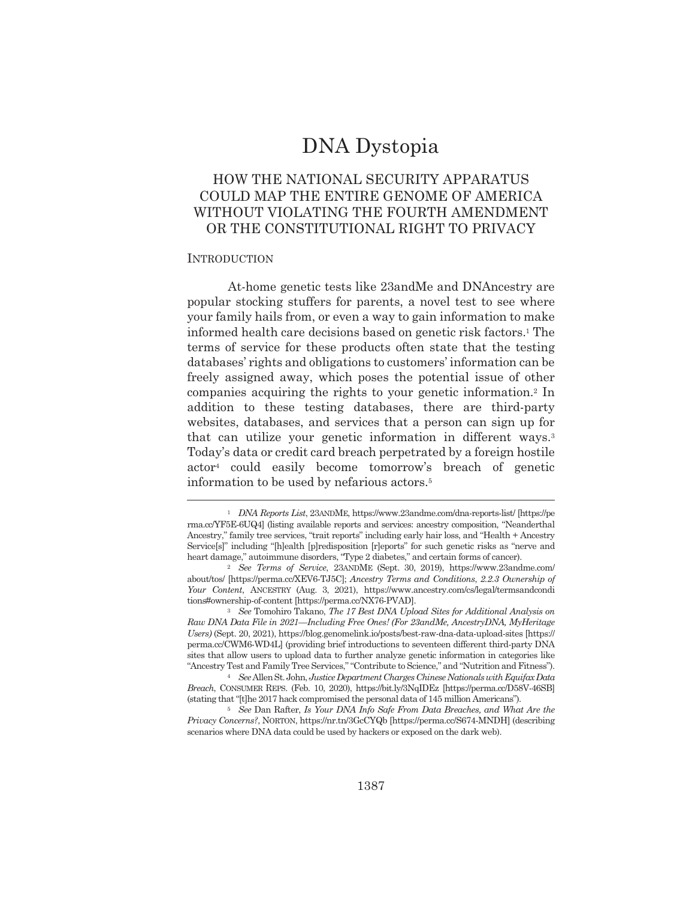# **DNA** Dystopia

## HOW THE NATIONAL SECURITY APPARATUS COULD MAP THE ENTIRE GENOME OF AMERICA WITHOUT VIOLATING THE FOURTH AMENDMENT OR THE CONSTITUTIONAL RIGHT TO PRIVACY

## **INTRODUCTION**

At-home genetic tests like 23andMe and DNAncestry are popular stocking stuffers for parents, a novel test to see where your family hails from, or even a way to gain information to make informed health care decisions based on genetic risk factors.<sup>1</sup> The terms of service for these products often state that the testing databases' rights and obligations to customers' information can be freely assigned away, which poses the potential issue of other companies acquiring the rights to your genetic information.<sup>2</sup> In addition to these testing databases, there are third-party websites, databases, and services that a person can sign up for that can utilize your genetic information in different ways.<sup>3</sup> Today's data or credit card breach perpetrated by a foreign hostile actor<sup>4</sup> could easily become tomorrow's breach of genetic information to be used by nefarious actors.<sup>5</sup>

<sup>&</sup>lt;sup>1</sup> DNA Reports List, 23ANDME, https://www.23andme.com/dna-reports-list/ [https://pe rma.cc/YF5E-6UQ4] (listing available reports and services: ancestry composition, "Neanderthal Ancestry," family tree services, "trait reports" including early hair loss, and "Health + Ancestry Service[s]" including "[h]ealth [p]redisposition [r]eports" for such genetic risks as "nerve and heart damage," autoimmune disorders, "Type 2 diabetes," and certain forms of cancer).

<sup>&</sup>lt;sup>2</sup> See Terms of Service, 23ANDME (Sept. 30, 2019), https://www.23andme.com/ about/tos/ [https://perma.cc/XEV6-TJ5C]; Ancestry Terms and Conditions, 2.2.3 Ownership of Your Content, ANCESTRY (Aug. 3, 2021), https://www.ancestry.com/cs/legal/termsandcondi tions#ownership-of-content [https://perma.cc/NX76-PVAD].

<sup>&</sup>lt;sup>3</sup> See Tomohiro Takano, *The 17 Best DNA Upload Sites for Additional Analysis on* Raw DNA Data File in 2021—Including Free Ones! (For 23andMe, AncestryDNA, MyHeritage Users) (Sept. 20, 2021), https://blog.genomelink.io/posts/best-raw-dna-data-upload-sites [https:// perma.cc/CWM6-WD4L] (providing brief introductions to seventeen different third-party DNA sites that allow users to upload data to further analyze genetic information in categories like "Ancestry Test and Family Tree Services," "Contribute to Science," and "Nutrition and Fitness").

<sup>&</sup>lt;sup>4</sup> See Allen St. John, Justice Department Charges Chinese Nationals with Equifax Data Breach, CONSUMER REPS. (Feb. 10, 2020), https://bit.ly/3NqIDEz [https://perma.cc/D58V-46SB] (stating that "[t]he 2017 hack compromised the personal data of 145 million Americans").

<sup>&</sup>lt;sup>5</sup> See Dan Rafter, *Is Your DNA Info Safe From Data Breaches*, and What Are the Privacy Concerns?, NORTON, https://nr.tn/3GcCYQb [https://perma.cc/S674-MNDH] (describing scenarios where DNA data could be used by hackers or exposed on the dark web).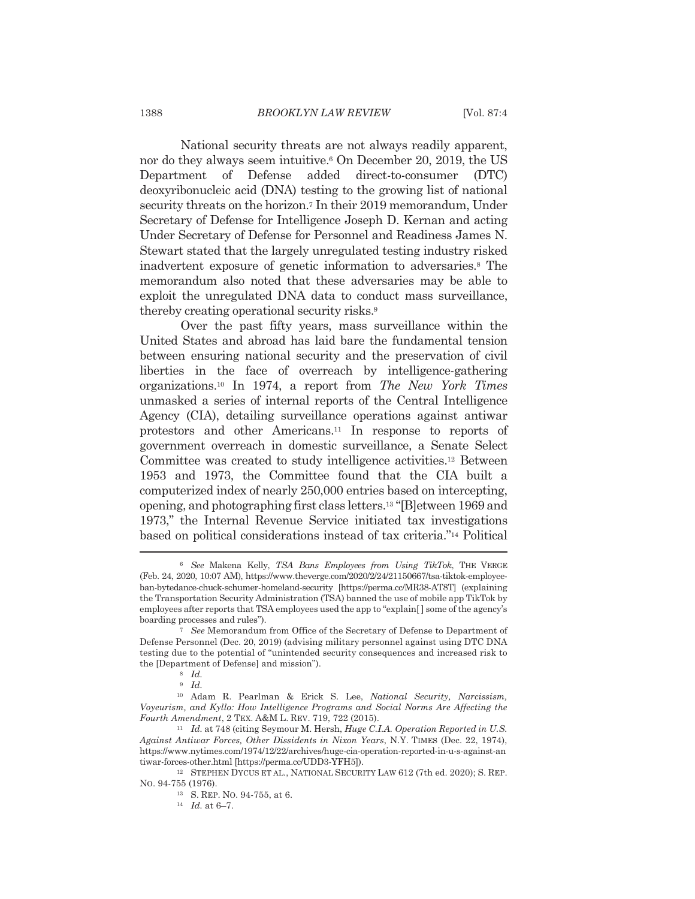National security threats are not always readily apparent, nor do they always seem intuitive.<sup>6</sup> On December 20, 2019, the US Department of Defense added direct-to-consumer (DTC) deoxyribonucleic acid (DNA) testing to the growing list of national security threats on the horizon.<sup>7</sup> In their 2019 memorandum, Under Secretary of Defense for Intelligence Joseph D. Kernan and acting Under Secretary of Defense for Personnel and Readiness James N. Stewart stated that the largely unregulated testing industry risked inadvertent exposure of genetic information to adversaries.<sup>8</sup> The memorandum also noted that these adversaries may be able to exploit the unregulated DNA data to conduct mass surveillance, thereby creating operational security risks.<sup>9</sup>

Over the past fifty years, mass surveillance within the United States and abroad has laid bare the fundamental tension between ensuring national security and the preservation of civil liberties in the face of overreach by intelligence-gathering organizations.<sup>10</sup> In 1974, a report from The New York Times unmasked a series of internal reports of the Central Intelligence Agency (CIA), detailing surveillance operations against antiwar protestors and other Americans.<sup>11</sup> In response to reports of government overreach in domestic surveillance, a Senate Select Committee was created to study intelligence activities.<sup>12</sup> Between 1953 and 1973, the Committee found that the CIA built a computerized index of nearly 250,000 entries based on intercepting. opening, and photographing first class letters.<sup>13</sup> "[B]etween 1969 and 1973," the Internal Revenue Service initiated tax investigations based on political considerations instead of tax criteria."<sup>14</sup> Political

<sup>&</sup>lt;sup>6</sup> See Makena Kelly, TSA Bans Employees from Using TikTok, THE VERGE (Feb. 24, 2020, 10:07 AM), https://www.theverge.com/2020/2/24/21150667/tsa-tiktok-employeeban-bytedance-chuck-schumer-homeland-security [https://perma.cc/MR38-AT8T] (explaining the Transportation Security Administration (TSA) banned the use of mobile app TikTok by employees after reports that TSA employees used the app to "explain" ome of the agency's boarding processes and rules").

 $7$  See Memorandum from Office of the Secretary of Defense to Department of Defense Personnel (Dec. 20, 2019) (advising military personnel against using DTC DNA testing due to the potential of "unintended security consequences and increased risk to the [Department of Defense] and mission").

 $8$  *Id.* 

 $9$  Id.

<sup>&</sup>lt;sup>10</sup> Adam R. Pearlman & Erick S. Lee, National Security, Narcissism, Voyeurism, and Kyllo: How Intelligence Programs and Social Norms Are Affecting the Fourth Amendment, 2 TEX. A&M L. REV. 719, 722 (2015).

<sup>&</sup>lt;sup>11</sup> Id. at 748 (citing Seymour M. Hersh, Huge C.I.A. Operation Reported in U.S. Against Antiwar Forces, Other Dissidents in Nixon Years, N.Y. TIMES (Dec. 22, 1974), https://www.nytimes.com/1974/12/22/archives/huge-cia-operation-reported-in-u-s-against-an tiwar-forces-other.html [https://perma.cc/UDD3-YFH5]).

<sup>&</sup>lt;sup>12</sup> STEPHEN DYCUS ET AL., NATIONAL SECURITY LAW 612 (7th ed. 2020); S. REP. No. 94-755 (1976).

<sup>&</sup>lt;sup>13</sup> S. REP. NO. 94-755, at 6.

 $^{14}$   $\,$   $Id.\;$  at 6–7.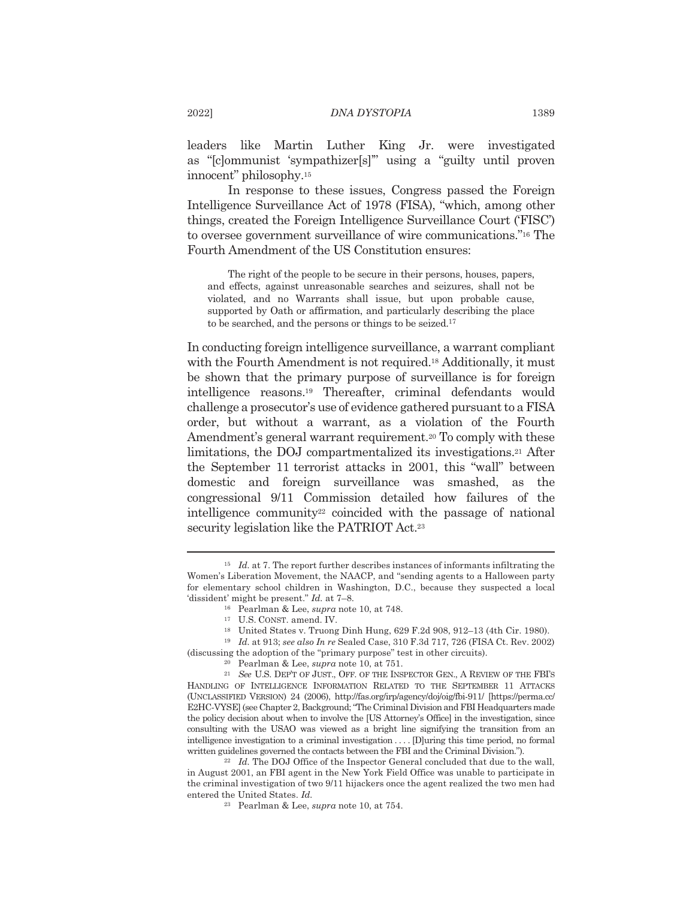leaders like Martin Luther King Jr. were investigated as "[clommunist 'sympathizer[s]" using a "guilty until proven innocent" philosophy.<sup>15</sup>

In response to these issues, Congress passed the Foreign Intelligence Surveillance Act of 1978 (FISA), "which, among other things, created the Foreign Intelligence Surveillance Court ('FISC') to oversee government surveillance of wire communications."<sup>16</sup> The Fourth Amendment of the US Constitution ensures:

The right of the people to be secure in their persons, houses, papers, and effects, against unreasonable searches and seizures, shall not be violated, and no Warrants shall issue, but upon probable cause, supported by Oath or affirmation, and particularly describing the place to be searched, and the persons or things to be seized.<sup>17</sup>

In conducting foreign intelligence surveillance, a warrant compliant with the Fourth Amendment is not required.<sup>18</sup> Additionally, it must be shown that the primary purpose of surveillance is for foreign intelligence reasons.<sup>19</sup> Thereafter, criminal defendants would challenge a prosecutor's use of evidence gathered pursuant to a FISA order, but without a warrant, as a violation of the Fourth Amendment's general warrant requirement.<sup>20</sup> To comply with these limitations, the DOJ compartmentalized its investigations.<sup>21</sup> After the September 11 terrorist attacks in 2001, this "wall" between domestic and foreign surveillance was smashed, as the congressional 9/11 Commission detailed how failures of the intelligence community<sup>22</sup> coincided with the passage of national security legislation like the PATRIOT Act.<sup>23</sup>

 $15$  *Id.* at 7. The report further describes instances of informants infiltrating the Women's Liberation Movement, the NAACP, and "sending agents to a Halloween party for elementary school children in Washington, D.C., because they suspected a local 'dissident' might be present."  $Id$ . at 7-8.

<sup>&</sup>lt;sup>16</sup> Pearlman & Lee, *supra* note 10, at 748.

<sup>&</sup>lt;sup>17</sup> U.S. CONST. amend. IV.

<sup>&</sup>lt;sup>18</sup> United States v. Truong Dinh Hung, 629 F.2d 908, 912-13 (4th Cir. 1980).

<sup>&</sup>lt;sup>19</sup> Id. at 913; see also In re Sealed Case, 310 F.3d 717, 726 (FISA Ct. Rev. 2002) (discussing the adoption of the "primary purpose" test in other circuits).

<sup>&</sup>lt;sup>20</sup> Pearlman & Lee, *supra* note 10, at 751.

<sup>&</sup>lt;sup>21</sup> See U.S. DEP'T OF JUST., OFF. OF THE INSPECTOR GEN., A REVIEW OF THE FBI'S HANDLING OF INTELLIGENCE INFORMATION RELATED TO THE SEPTEMBER 11 ATTACKS (UNCLASSIFIED VERSION) 24 (2006), http://fas.org/irp/agency/doj/oig/fbi-911/ [https://perma.cc/ E2HC-VYSE] (see Chapter 2, Background; "The Criminal Division and FBI Headquarters made the policy decision about when to involve the [US Attorney's Office] in the investigation, since consulting with the USAO was viewed as a bright line signifying the transition from an intelligence investigation to a criminal investigation ... During this time period, no formal written guidelines governed the contacts between the FBI and the Criminal Division.").

<sup>&</sup>lt;sup>22</sup> Id. The DOJ Office of the Inspector General concluded that due to the wall, in August 2001, an FBI agent in the New York Field Office was unable to participate in the criminal investigation of two 9/11 hijackers once the agent realized the two men had entered the United States. Id.

<sup>&</sup>lt;sup>23</sup> Pearlman & Lee, *supra* note 10, at 754.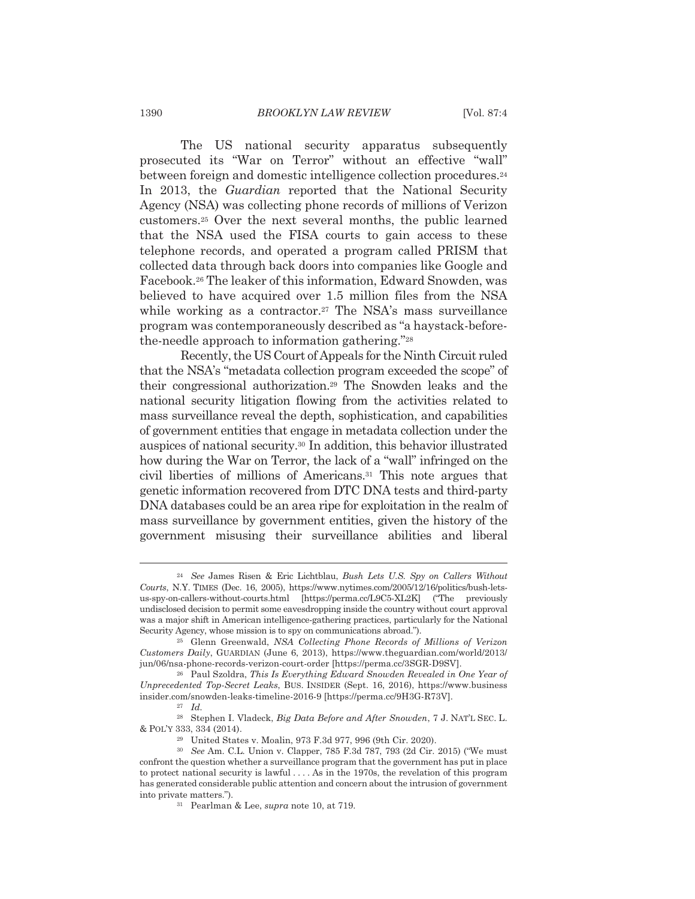The US national security apparatus subsequently prosecuted its "War on Terror" without an effective "wall" between foreign and domestic intelligence collection procedures.<sup>24</sup> In 2013, the *Guardian* reported that the National Security Agency (NSA) was collecting phone records of millions of Verizon customers.<sup>25</sup> Over the next several months, the public learned that the NSA used the FISA courts to gain access to these telephone records, and operated a program called PRISM that collected data through back doors into companies like Google and Facebook.<sup>26</sup> The leaker of this information, Edward Snowden, was believed to have acquired over 1.5 million files from the NSA while working as a contractor.<sup>27</sup> The NSA's mass surveillance program was contemporaneously described as "a haystack-beforethe-needle approach to information gathering."28

Recently, the US Court of Appeals for the Ninth Circuit ruled that the NSA's "metadata collection program exceeded the scope" of their congressional authorization.<sup>29</sup> The Snowden leaks and the national security litigation flowing from the activities related to mass surveillance reveal the depth, sophistication, and capabilities of government entities that engage in metadata collection under the auspices of national security.<sup>30</sup> In addition, this behavior illustrated how during the War on Terror, the lack of a "wall" infringed on the civil liberties of millions of Americans.<sup>31</sup> This note argues that genetic information recovered from DTC DNA tests and third-party DNA databases could be an area ripe for exploitation in the realm of mass surveillance by government entities, given the history of the government misusing their surveillance abilities and liberal

<sup>&</sup>lt;sup>24</sup> See James Risen & Eric Lichtblau, *Bush Lets U.S. Spy on Callers Without* Courts, N.Y. TIMES (Dec. 16, 2005), https://www.nytimes.com/2005/12/16/politics/bush-letsus-spy-on-callers-without-courts.html [https://perma.cc/L9C5-XL2K] ("The previously undisclosed decision to permit some eavesdropping inside the country without court approval was a major shift in American intelligence-gathering practices, particularly for the National Security Agency, whose mission is to spy on communications abroad.").

<sup>&</sup>lt;sup>25</sup> Glenn Greenwald, NSA Collecting Phone Records of Millions of Verizon Customers Daily, GUARDIAN (June 6, 2013), https://www.theguardian.com/world/2013/ jun/06/nsa-phone-records-verizon-court-order [https://perma.cc/3SGR-D9SV].

<sup>&</sup>lt;sup>26</sup> Paul Szoldra, This Is Everything Edward Snowden Revealed in One Year of Unprecedented Top-Secret Leaks, BUS. INSIDER (Sept. 16, 2016), https://www.business insider.com/snowden-leaks-timeline-2016-9 [https://perma.cc/9H3G-R73V].

 $27$  *Id.* 

<sup>&</sup>lt;sup>28</sup> Stephen I. Vladeck, *Big Data Before and After Snowden*, 7 J. NAT'L SEC. L. & POL'Y 333, 334 (2014).

<sup>&</sup>lt;sup>29</sup> United States v. Moalin, 973 F.3d 977, 996 (9th Cir. 2020).

<sup>&</sup>lt;sup>30</sup> See Am. C.L. Union v. Clapper, 785 F.3d 787, 793 (2d Cir. 2015) ("We must confront the question whether a surveillance program that the government has put in place to protect national security is lawful  $\dots$ . As in the 1970s, the revelation of this program has generated considerable public attention and concern about the intrusion of government into private matters.").

<sup>&</sup>lt;sup>31</sup> Pearlman & Lee, *supra* note 10, at 719.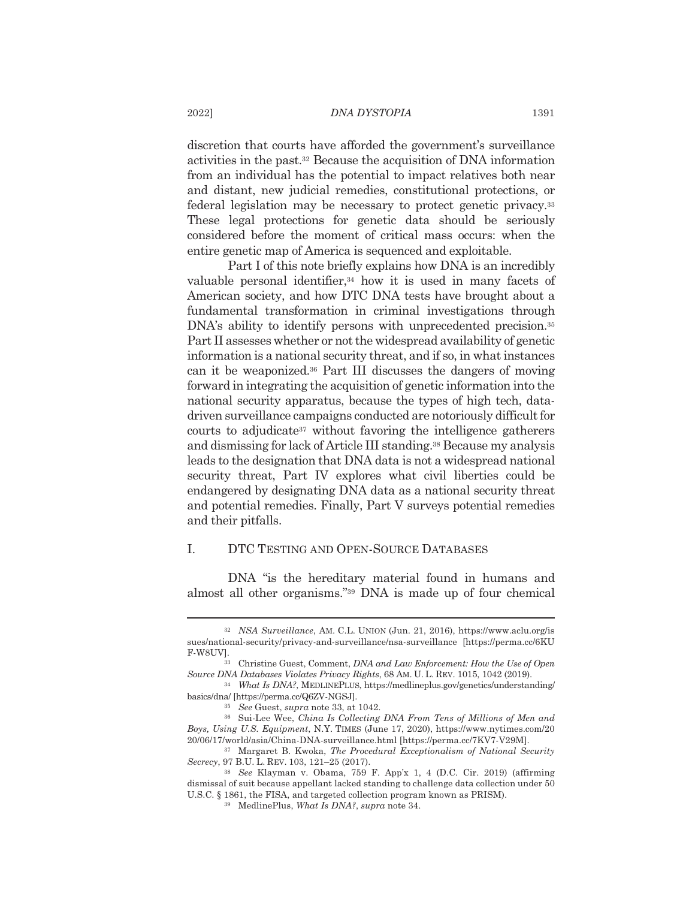discretion that courts have afforded the government's surveillance activities in the past.<sup>32</sup> Because the acquisition of DNA information from an individual has the potential to impact relatives both near and distant, new judicial remedies, constitutional protections, or federal legislation may be necessary to protect genetic privacy.<sup>33</sup> These legal protections for genetic data should be seriously considered before the moment of critical mass occurs: when the entire genetic map of America is sequenced and exploitable.

Part I of this note briefly explains how DNA is an incredibly valuable personal identifier,<sup>34</sup> how it is used in many facets of American society, and how DTC DNA tests have brought about a fundamental transformation in criminal investigations through DNA's ability to identify persons with unprecedented precision.<sup>35</sup> Part II assesses whether or not the widespread availability of genetic information is a national security threat, and if so, in what instances can it be weaponized.<sup>36</sup> Part III discusses the dangers of moving forward in integrating the acquisition of genetic information into the national security apparatus, because the types of high tech, datadriven surveillance campaigns conducted are notoriously difficult for courts to adjudicate<sup>37</sup> without favoring the intelligence gatherers and dismissing for lack of Article III standing.<sup>38</sup> Because my analysis leads to the designation that DNA data is not a widespread national security threat, Part IV explores what civil liberties could be endangered by designating DNA data as a national security threat and potential remedies. Finally, Part V surveys potential remedies and their pitfalls.

#### $\mathbf{L}$ DTC TESTING AND OPEN-SOURCE DATABASES

DNA "is the hereditary material found in humans and almost all other organisms."39 DNA is made up of four chemical

<sup>32</sup> NSA Surveillance, AM. C.L. UNION (Jun. 21, 2016), https://www.aclu.org/is sues/national-security/privacy-and-surveillance/nsa-surveillance [https://perma.cc/6KU F-W8UV].

<sup>&</sup>lt;sup>33</sup> Christine Guest, Comment, *DNA and Law Enforcement: How the Use of Open* Source DNA Databases Violates Privacy Rights, 68 AM. U. L. REV. 1015, 1042 (2019).

<sup>&</sup>lt;sup>34</sup> What Is DNA?, MEDLINEPLUS, https://medlineplus.gov/genetics/understanding/ basics/dna/ [https://perma.cc/Q6ZV-NGSJ].

<sup>&</sup>lt;sup>35</sup> See Guest, *supra* note 33, at 1042.

<sup>&</sup>lt;sup>36</sup> Sui-Lee Wee, China Is Collecting DNA From Tens of Millions of Men and Boys, Using U.S. Equipment, N.Y. TIMES (June 17, 2020), https://www.nytimes.com/20 20/06/17/world/asia/China-DNA-surveillance.html [https://perma.cc/7KV7-V29M].

<sup>&</sup>lt;sup>37</sup> Margaret B. Kwoka, *The Procedural Exceptionalism of National Security* Secrecy, 97 B.U. L. REV. 103, 121-25 (2017).

<sup>38</sup> See Klayman v. Obama, 759 F. App'x 1, 4 (D.C. Cir. 2019) (affirming dismissal of suit because appellant lacked standing to challenge data collection under 50 U.S.C. § 1861, the FISA, and targeted collection program known as PRISM).

<sup>&</sup>lt;sup>39</sup> MedlinePlus, What Is DNA?, supra note 34.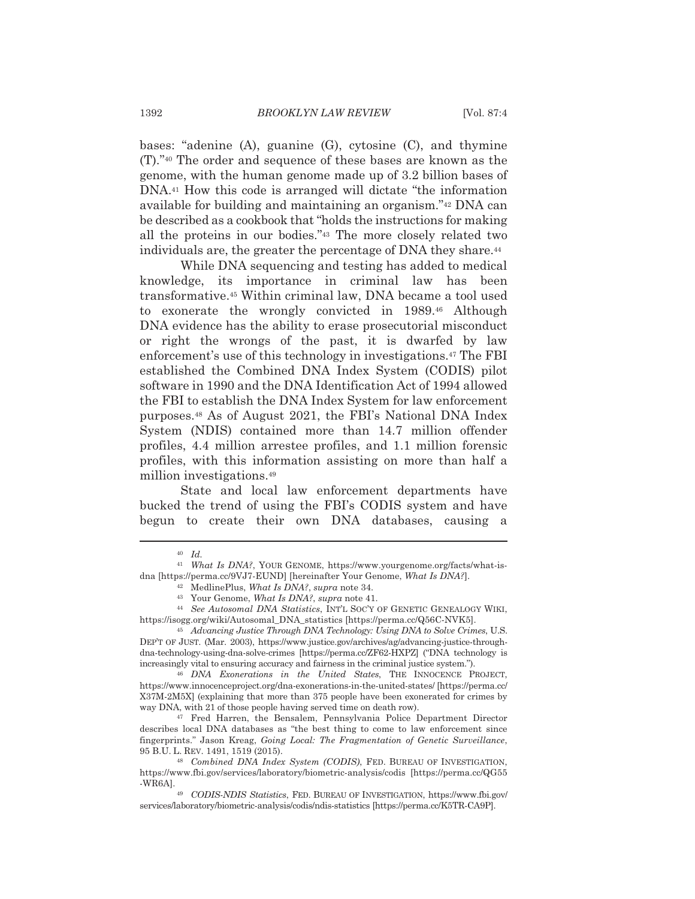bases: "adenine  $(A)$ , guanine  $(G)$ , cytosine  $(C)$ , and thymine (T)."<sup>40</sup> The order and sequence of these bases are known as the genome, with the human genome made up of 3.2 billion bases of DNA.<sup>41</sup> How this code is arranged will dictate "the information" available for building and maintaining an organism."<sup>42</sup> DNA can be described as a cookbook that "holds the instructions for making" all the proteins in our bodies."43 The more closely related two individuals are, the greater the percentage of DNA they share.<sup>44</sup>

While DNA sequencing and testing has added to medical knowledge, its importance in criminal law has been transformative.<sup>45</sup> Within criminal law, DNA became a tool used to exonerate the wrongly convicted in 1989.<sup>46</sup> Although DNA evidence has the ability to erase prosecutorial misconduct or right the wrongs of the past, it is dwarfed by law enforcement's use of this technology in investigations.<sup>47</sup> The FBI established the Combined DNA Index System (CODIS) pilot software in 1990 and the DNA Identification Act of 1994 allowed the FBI to establish the DNA Index System for law enforcement purposes.<sup>48</sup> As of August 2021, the FBI's National DNA Index System (NDIS) contained more than 14.7 million offender profiles, 4.4 million arrestee profiles, and 1.1 million forensic profiles, with this information assisting on more than half a million investigations.<sup>49</sup>

State and local law enforcement departments have bucked the trend of using the FBI's CODIS system and have begun to create their own DNA databases, causing a

 $40$  *Id.* 

<sup>&</sup>lt;sup>41</sup> What Is DNA?, YOUR GENOME, https://www.yourgenome.org/facts/what-isdna [https://perma.cc/9VJ7-EUND] [hereinafter Your Genome, What Is DNA?].

<sup>&</sup>lt;sup>42</sup> MedlinePlus, What Is DNA?, supra note 34.

<sup>&</sup>lt;sup>43</sup> Your Genome, What Is DNA?, supra note 41.

<sup>&</sup>lt;sup>44</sup> See Autosomal DNA Statistics. INT'L SOC'Y OF GENETIC GENEALOGY WIKI. https://isogg.org/wiki/Autosomal\_DNA\_statistics [https://perma.cc/Q56C-NVK5].

<sup>&</sup>lt;sup>45</sup> Advancing Justice Through DNA Technology: Using DNA to Solve Crimes, U.S. DEP'T OF JUST. (Mar. 2003), https://www.justice.gov/archives/ag/advancing-justice-throughdna-technology-using-dna-solve-crimes [https://perma.cc/ZF62-HXPZ] ("DNA technology is increasingly vital to ensuring accuracy and fairness in the criminal justice system.").

<sup>&</sup>lt;sup>46</sup> DNA Exonerations in the United States, THE INNOCENCE PROJECT, https://www.innocenceproject.org/dna-exonerations-in-the-united-states/ [https://perma.cc/ X37M-2M5X] (explaining that more than 375 people have been exonerated for crimes by way DNA, with 21 of those people having served time on death row).

<sup>&</sup>lt;sup>47</sup> Fred Harren, the Bensalem, Pennsylvania Police Department Director describes local DNA databases as "the best thing to come to law enforcement since fingerprints." Jason Kreag, Going Local: The Fragmentation of Genetic Surveillance, 95 B.U. L. REV. 1491, 1519 (2015).

<sup>&</sup>lt;sup>48</sup> Combined DNA Index System (CODIS), FED. BUREAU OF INVESTIGATION, https://www.fbi.gov/services/laboratory/biometric-analysis/codis [https://perma.cc/QG55 -WR6A].

<sup>&</sup>lt;sup>49</sup> CODIS-NDIS Statistics, FED. BUREAU OF INVESTIGATION, https://www.fbi.gov/ services/laboratory/biometric-analysis/codis/ndis-statistics [https://perma.cc/K5TR-CA9P].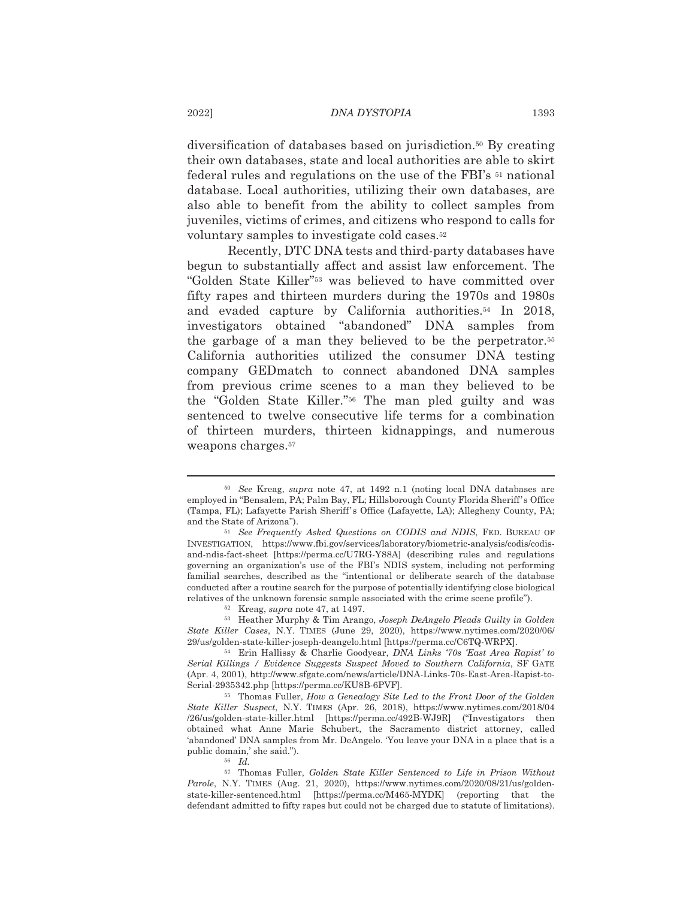diversification of databases based on jurisdiction.<sup>50</sup> By creating their own databases, state and local authorities are able to skirt federal rules and regulations on the use of the FBI's <sup>51</sup> national database. Local authorities, utilizing their own databases, are also able to benefit from the ability to collect samples from juveniles, victims of crimes, and citizens who respond to calls for voluntary samples to investigate cold cases.<sup>52</sup>

Recently, DTC DNA tests and third-party databases have begun to substantially affect and assist law enforcement. The "Golden State Killer"<sup>53</sup> was believed to have committed over fifty rapes and thirteen murders during the 1970s and 1980s and evaded capture by California authorities.<sup>54</sup> In 2018, investigators obtained "abandoned" DNA samples from the garbage of a man they believed to be the perpetrator.<sup>55</sup> California authorities utilized the consumer DNA testing company GED match to connect abandoned DNA samples from previous crime scenes to a man they believed to be the "Golden State Killer."<sup>56</sup> The man pled guilty and was sentenced to twelve consecutive life terms for a combination of thirteen murders, thirteen kidnappings, and numerous weapons charges.<sup>57</sup>

<sup>&</sup>lt;sup>50</sup> See Kreag, *supra* note 47, at 1492 n.1 (noting local DNA databases are employed in "Bensalem, PA; Palm Bay, FL; Hillsborough County Florida Sheriff's Office (Tampa, FL); Lafayette Parish Sheriff's Office (Lafayette, LA); Allegheny County, PA; and the State of Arizona").

<sup>&</sup>lt;sup>51</sup> See Frequently Asked Questions on CODIS and NDIS, FED. BUREAU OF INVESTIGATION, https://www.fbi.gov/services/laboratory/biometric-analysis/codis/codisand-ndis-fact-sheet [https://perma.cc/U7RG-Y88A] (describing rules and regulations governing an organization's use of the FBI's NDIS system, including not performing familial searches, described as the "intentional or deliberate search of the database conducted after a routine search for the purpose of potentially identifying close biological relatives of the unknown forensic sample associated with the crime scene profile").

 $52$  Kreag, supra note 47, at 1497.

<sup>53</sup> Heather Murphy & Tim Arango, Joseph DeAngelo Pleads Guilty in Golden State Killer Cases, N.Y. TIMES (June 29, 2020), https://www.nytimes.com/2020/06/ 29/us/golden-state-killer-joseph-deangelo.html [https://perma.cc/C6TQ-WRPX].

<sup>&</sup>lt;sup>54</sup> Erin Hallissy & Charlie Goodyear, *DNA Links '70s 'East Area Rapist' to* Serial Killings / Evidence Suggests Suspect Moved to Southern California, SF GATE (Apr. 4, 2001), http://www.sfgate.com/news/article/DNA-Links-70s-East-Area-Rapist-to-Serial-2935342.php [https://perma.cc/KU8B-6PVF].

<sup>&</sup>lt;sup>55</sup> Thomas Fuller, How a Genealogy Site Led to the Front Door of the Golden State Killer Suspect, N.Y. TIMES (Apr. 26, 2018), https://www.nytimes.com/2018/04 /26/us/golden-state-killer.html [https://perma.cc/492B-WJ9R] ("Investigators then obtained what Anne Marie Schubert, the Sacramento district attorney, called 'abandoned' DNA samples from Mr. DeAngelo. 'You leave your DNA in a place that is a public domain,' she said.").

 $56$  *Id.* 

<sup>&</sup>lt;sup>57</sup> Thomas Fuller, Golden State Killer Sentenced to Life in Prison Without Parole, N.Y. TIMES (Aug. 21, 2020), https://www.nytimes.com/2020/08/21/us/goldenstate-killer-sentenced.html [https://perma.cc/M465-MYDK] (reporting that the defendant admitted to fifty rapes but could not be charged due to statute of limitations).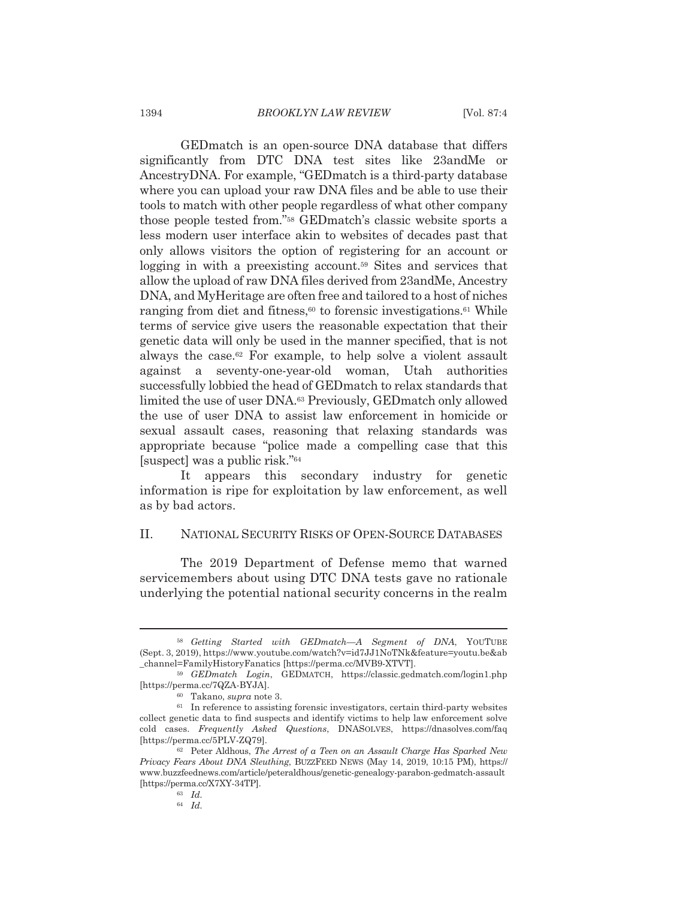GED match is an open-source DNA database that differs significantly from DTC DNA test sites like 23andMe or AncestryDNA. For example, "GED match is a third-party database where you can upload your raw DNA files and be able to use their tools to match with other people regardless of what other company those people tested from."<sup>58</sup> GEDmatch's classic website sports a less modern user interface akin to websites of decades past that only allows visitors the option of registering for an account or logging in with a preexisting account.<sup>59</sup> Sites and services that allow the upload of raw DNA files derived from 23andMe, Ancestry DNA, and MyHeritage are often free and tailored to a host of niches ranging from diet and fitness,<sup>60</sup> to forensic investigations.<sup>61</sup> While terms of service give users the reasonable expectation that their genetic data will only be used in the manner specified, that is not always the case.<sup>62</sup> For example, to help solve a violent assault against a seventy-one-year-old woman, Utah authorities successfully lobbied the head of GED match to relax standards that limited the use of user DNA.<sup>63</sup> Previously, GED match only allowed the use of user DNA to assist law enforcement in homicide or sexual assault cases, reasoning that relaxing standards was appropriate because "police made a compelling case that this [suspect] was a public risk."<sup>64</sup>

It appears this secondary industry for genetic information is ripe for exploitation by law enforcement, as well as by bad actors.

#### II. NATIONAL SECURITY RISKS OF OPEN-SOURCE DATABASES

The 2019 Department of Defense memo that warned servicemembers about using DTC DNA tests gave no rationale underlying the potential national security concerns in the realm

<sup>58</sup> Getting Started with GEDmatch-A Segment of DNA, YOUTUBE (Sept. 3, 2019), https://www.youtube.com/watch?v=id7JJ1NoTNk&feature=youtu.be&ab channel=FamilyHistoryFanatics [https://perma.cc/MVB9-XTVT].

<sup>59</sup> GEDmatch Login, GEDMATCH, https://classic.gedmatch.com/login1.php [https://perma.cc/7QZA-BYJA].

<sup>&</sup>lt;sup>60</sup> Takano, *supra* note 3.

 $61$  In reference to assisting forensic investigators, certain third-party websites collect genetic data to find suspects and identify victims to help law enforcement solve cold cases. Frequently Asked Questions, DNASOLVES, https://dnasolves.com/faq [https://perma.cc/5PLV-ZQ79].

<sup>&</sup>lt;sup>62</sup> Peter Aldhous, *The Arrest of a Teen on an Assault Charge Has Sparked New* Privacy Fears About DNA Sleuthing, BUZZFEED NEWS (May 14, 2019, 10:15 PM), https:// www.buzzfeednews.com/article/peteraldhous/genetic-genealogy-parabon-gedmatch-assault [https://perma.cc/X7XY-34TP].

 $63$  Id.

 $64$  Id.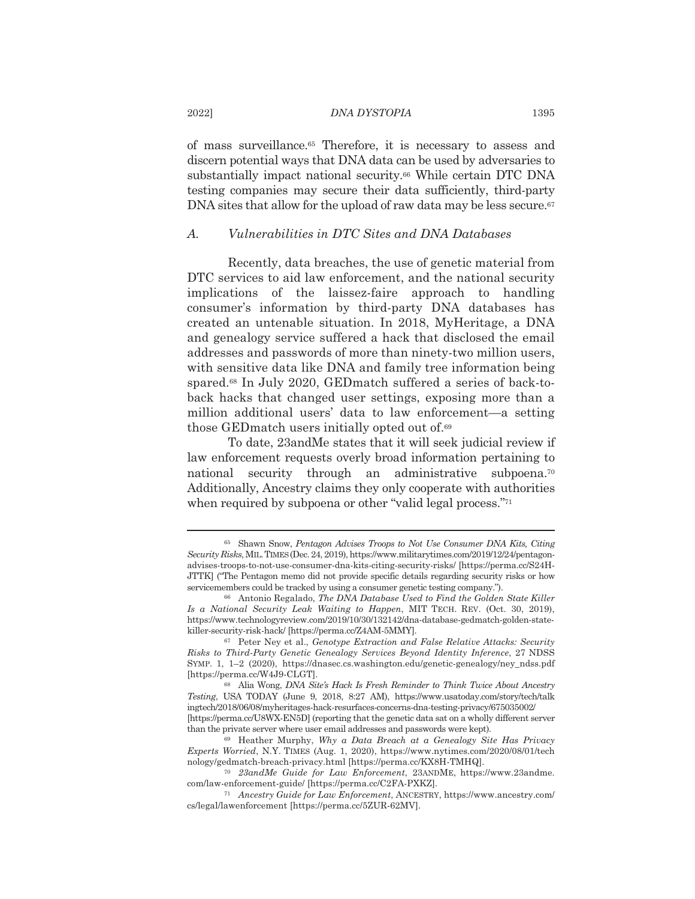of mass surveillance.<sup>65</sup> Therefore, it is necessary to assess and discern potential ways that DNA data can be used by adversaries to substantially impact national security.<sup>66</sup> While certain DTC DNA testing companies may secure their data sufficiently, third-party DNA sites that allow for the upload of raw data may be less secure.<sup>67</sup>

#### $\overline{A}$ . Vulnerabilities in DTC Sites and DNA Databases

Recently, data breaches, the use of genetic material from DTC services to aid law enforcement, and the national security implications of the laissez-faire approach to handling consumer's information by third-party DNA databases has created an untenable situation. In 2018, MyHeritage, a DNA and genealogy service suffered a hack that disclosed the email addresses and passwords of more than ninety-two million users. with sensitive data like DNA and family tree information being spared.<sup>68</sup> In July 2020, GED match suffered a series of back-toback hacks that changed user settings, exposing more than a million additional users' data to law enforcement—a setting those GED match users initially opted out of.<sup>69</sup>

To date, 23andMe states that it will seek judicial review if law enforcement requests overly broad information pertaining to national security through an administrative subpoena.<sup>70</sup> Additionally, Ancestry claims they only cooperate with authorities when required by subpoena or other "valid legal process."71

2022]

<sup>&</sup>lt;sup>65</sup> Shawn Snow, Pentagon Advises Troops to Not Use Consumer DNA Kits, Citing Security Risks, MIL. TIMES (Dec. 24, 2019), https://www.militarytimes.com/2019/12/24/pentagonadvises-troops-to-not-use-consumer-dna-kits-citing-security-risks/ [https://perma.cc/S24H-JTTK] ("The Pentagon memo did not provide specific details regarding security risks or how servicemembers could be tracked by using a consumer genetic testing company.").

<sup>&</sup>lt;sup>66</sup> Antonio Regalado, *The DNA Database Used to Find the Golden State Killer* Is a National Security Leak Waiting to Happen, MIT TECH. REV. (Oct. 30, 2019), https://www.technologyreview.com/2019/10/30/132142/dna-database-gedmatch-golden-statekiller-security-risk-hack/[https://perma.cc/Z4AM-5MMY].

<sup>&</sup>lt;sup>67</sup> Peter Ney et al., Genotype Extraction and False Relative Attacks: Security Risks to Third-Party Genetic Genealogy Services Beyond Identity Inference, 27 NDSS SYMP. 1,  $1-2$  (2020), https://dnasec.cs.washington.edu/genetic-genealogy/ney ndss.pdf [https://perma.cc/W4J9-CLGT].

<sup>&</sup>lt;sup>68</sup> Alia Wong, *DNA Site's Hack Is Fresh Reminder to Think Twice About Ancestry* Testing, USA TODAY (June 9, 2018, 8:27 AM), https://www.usatoday.com/story/tech/talk ingtech/2018/06/08/myheritages-hack-resurfaces-concerns-dna-testing-privacy/675035002/ [https://perma.cc/U8WX-EN5D] (reporting that the genetic data sat on a wholly different server than the private server where user email addresses and passwords were kept).

<sup>&</sup>lt;sup>69</sup> Heather Murphy, Why a Data Breach at a Genealogy Site Has Privacy Experts Worried, N.Y. TIMES (Aug. 1, 2020), https://www.nytimes.com/2020/08/01/tech nology/gedmatch-breach-privacy.html [https://perma.cc/KX8H-TMHQ].

<sup>&</sup>lt;sup>70</sup> 23andMe Guide for Law Enforcement, 23ANDME, https://www.23andme. com/law-enforcement-guide/ [https://perma.cc/C2FA-PXKZ].

<sup>&</sup>lt;sup>71</sup> Ancestry Guide for Law Enforcement, ANCESTRY, https://www.ancestry.com/ cs/legal/lawenforcement [https://perma.cc/5ZUR-62MV].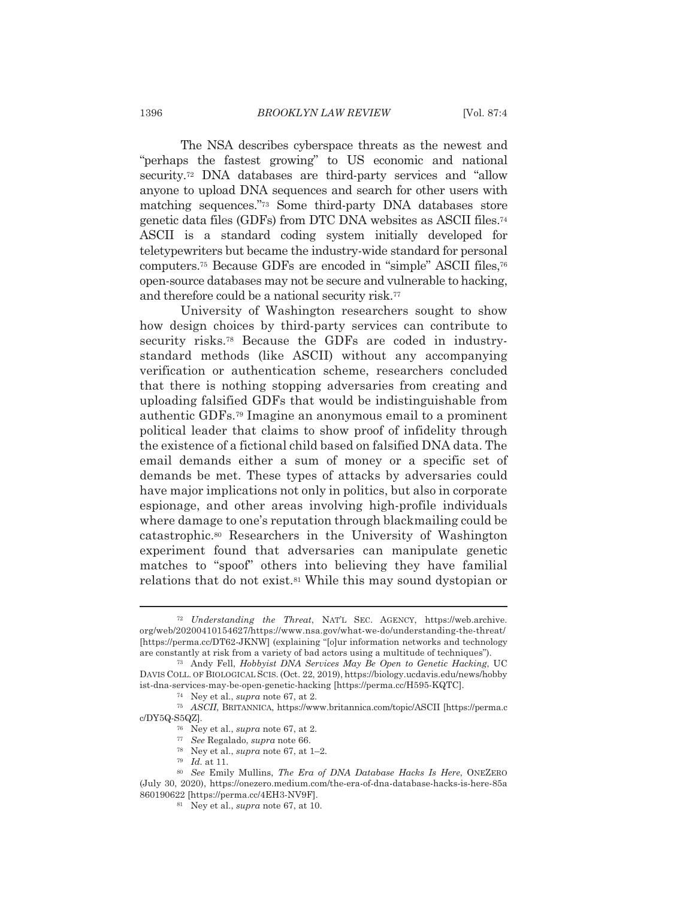The NSA describes cyberspace threats as the newest and "perhaps the fastest growing" to US economic and national security.<sup>72</sup> DNA databases are third-party services and "allow anyone to upload DNA sequences and search for other users with matching sequences."73 Some third-party DNA databases store genetic data files (GDFs) from DTC DNA websites as ASCII files.<sup>74</sup> ASCII is a standard coding system initially developed for teletype writers but became the industry-wide standard for personal computers.<sup>75</sup> Because GDFs are encoded in "simple" ASCII files.<sup>76</sup> open-source databases may not be secure and vulnerable to hacking, and therefore could be a national security risk.<sup>77</sup>

University of Washington researchers sought to show how design choices by third-party services can contribute to security risks.<sup>78</sup> Because the GDFs are coded in industrystandard methods (like ASCII) without any accompanying verification or authentication scheme, researchers concluded that there is nothing stopping adversaries from creating and uploading falsified GDFs that would be indistinguishable from authentic GDFs.<sup>79</sup> Imagine an anonymous email to a prominent political leader that claims to show proof of infidelity through the existence of a fictional child based on falsified DNA data. The email demands either a sum of money or a specific set of demands be met. These types of attacks by adversaries could have major implications not only in politics, but also in corporate espionage, and other areas involving high-profile individuals where damage to one's reputation through blackmailing could be catastrophic.<sup>80</sup> Researchers in the University of Washington experiment found that adversaries can manipulate genetic matches to "spoof" others into believing they have familial relations that do not exist.<sup>81</sup> While this may sound dystopian or

<sup>&</sup>lt;sup>72</sup> Understanding the Threat, NAT'L SEC. AGENCY, https://web.archive. org/web/20200410154627/https://www.nsa.gov/what-we-do/understanding-the-threat/ [https://perma.cc/DT62-JKNW] (explaining "[o]ur information networks and technology are constantly at risk from a variety of bad actors using a multitude of techniques").

<sup>&</sup>lt;sup>73</sup> Andy Fell, *Hobbyist DNA Services May Be Open to Genetic Hacking*, UC DAVIS COLL. OF BIOLOGICAL SCIS. (Oct. 22, 2019), https://biology.ucdavis.edu/news/hobby ist-dna-services-may-be-open-genetic-hacking [https://perma.cc/H595-KQTC].

 $74$  Ney et al., *supra* note 67, at 2.

<sup>75</sup> ASCII, BRITANNICA, https://www.britannica.com/topic/ASCII [https://perma.c c/DY5Q-S5QZ].

 $76$  Ney et al., supra note 67, at 2.

<sup>77</sup> See Regalado, supra note 66.

<sup>&</sup>lt;sup>78</sup> Ney et al., *supra* note 67, at  $1-2$ .

 $79$  *Id.* at 11.

<sup>80</sup> See Emily Mullins, The Era of DNA Database Hacks Is Here, ONEZERO (July 30, 2020), https://onezero.medium.com/the-era-of-dna-database-hacks-is-here-85a 860190622 [https://perma.cc/4EH3-NV9F].

<sup>&</sup>lt;sup>81</sup> Ney et al., *supra* note 67, at 10.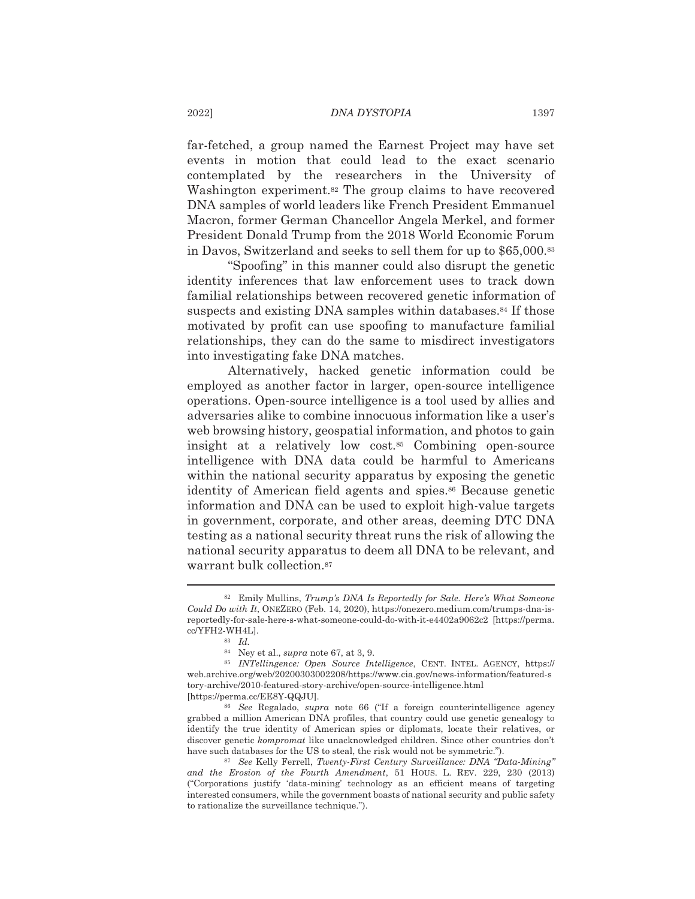far-fetched, a group named the Earnest Project may have set events in motion that could lead to the exact scenario contemplated by the researchers in the University of Washington experiment.<sup>82</sup> The group claims to have recovered DNA samples of world leaders like French President Emmanuel Macron, former German Chancellor Angela Merkel, and former President Donald Trump from the 2018 World Economic Forum in Davos, Switzerland and seeks to sell them for up to \$65,000.83

"Spoofing" in this manner could also disrupt the genetic identity inferences that law enforcement uses to track down familial relationships between recovered genetic information of suspects and existing DNA samples within databases.<sup>84</sup> If those motivated by profit can use spoofing to manufacture familial relationships, they can do the same to misdirect investigators into investigating fake DNA matches.

Alternatively, hacked genetic information could be employed as another factor in larger, open-source intelligence operations. Open-source intelligence is a tool used by allies and adversaries alike to combine innocuous information like a user's web browsing history, geospatial information, and photos to gain insight at a relatively low cost.<sup>85</sup> Combining open-source intelligence with DNA data could be harmful to Americans within the national security apparatus by exposing the genetic identity of American field agents and spies.<sup>86</sup> Because genetic information and DNA can be used to exploit high-value targets in government, corporate, and other areas, deeming DTC DNA testing as a national security threat runs the risk of allowing the national security apparatus to deem all DNA to be relevant, and warrant bulk collection.<sup>87</sup>

<sup>&</sup>lt;sup>82</sup> Emily Mullins, *Trump's DNA Is Reportedly for Sale. Here's What Someone* Could Do with It. ONEZERO (Feb. 14, 2020), https://onezero.medium.com/trumps-dna-isreportedly-for-sale-here-s-what-someone-could-do-with-it-e4402a9062c2 [https://perma. cc/YFH2-WH4L].

<sup>83</sup> Id.

 $84$  Ney et al., *supra* note 67, at 3, 9.

<sup>&</sup>lt;sup>85</sup> INTellingence: Open Source Intelligence, CENT. INTEL. AGENCY, https:// web.archive.org/web/20200303002208/https://www.cia.gov/news-information/featured-s tory-archive/2010-featured-story-archive/open-source-intelligence.html [https://perma.cc/EE8Y-QQJU].

<sup>86</sup> See Regalado, supra note 66 ("If a foreign counterintelligence agency grabbed a million American DNA profiles, that country could use genetic genealogy to identify the true identity of American spies or diplomats, locate their relatives, or discover genetic kompromat like unacknowledged children. Since other countries don't have such databases for the US to steal, the risk would not be symmetric.").

<sup>87</sup> See Kelly Ferrell, Twenty-First Century Surveillance: DNA "Data-Mining" and the Erosion of the Fourth Amendment, 51 HOUS. L. REV. 229, 230 (2013) ("Corporations justify 'data-mining' technology as an efficient means of targeting interested consumers, while the government boasts of national security and public safety to rationalize the surveillance technique.").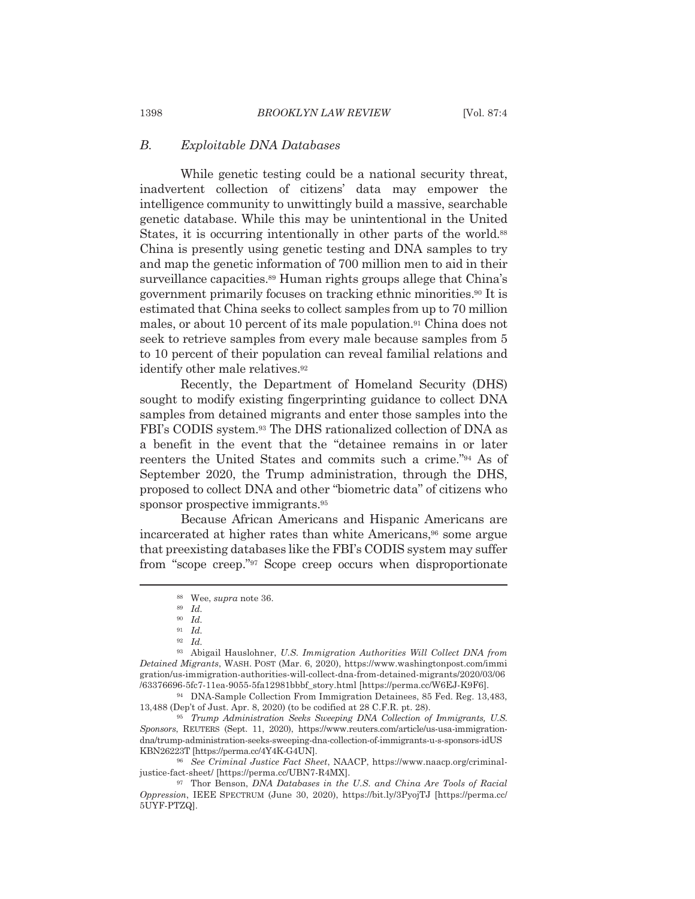#### $B$ . *Exploitable DNA Databases*

While genetic testing could be a national security threat, inadvertent collection of citizens' data may empower the intelligence community to unwittingly build a massive, searchable genetic database. While this may be unintentional in the United States, it is occurring intentionally in other parts of the world.<sup>88</sup> China is presently using genetic testing and DNA samples to try and map the genetic information of 700 million men to aid in their surveillance capacities.<sup>89</sup> Human rights groups allege that China's government primarily focuses on tracking ethnic minorities.<sup>90</sup> It is estimated that China seeks to collect samples from up to 70 million males, or about 10 percent of its male population.<sup>91</sup> China does not seek to retrieve samples from every male because samples from 5 to 10 percent of their population can reveal familial relations and identify other male relatives.<sup>92</sup>

Recently, the Department of Homeland Security (DHS) sought to modify existing fingerprinting guidance to collect DNA samples from detained migrants and enter those samples into the FBI's CODIS system.<sup>93</sup> The DHS rationalized collection of DNA as a benefit in the event that the "detainee remains in or later reenters the United States and commits such a crime."<sup>94</sup> As of September 2020, the Trump administration, through the DHS, proposed to collect DNA and other "biometric data" of citizens who sponsor prospective immigrants.<sup>95</sup>

Because African Americans and Hispanic Americans are incarcerated at higher rates than white Americans,<sup>96</sup> some argue that preexisting databases like the FBI's CODIS system may suffer from "scope creep."<sup>97</sup> Scope creep occurs when disproportionate

- $91$  Id.
- $92$   $Id.$

95 Trump Administration Seeks Sweeping DNA Collection of Immigrants, U.S. Sponsors, REUTERS (Sept. 11, 2020), https://www.reuters.com/article/us-usa-immigrationdna/trump-administration-seeks-sweeping-dna-collection-of-immigrants-u-s-sponsors-idUS KBN26223T [https://perma.cc/4Y4K-G4UN].

96 See Criminal Justice Fact Sheet, NAACP, https://www.naacp.org/criminaljustice-fact-sheet/ [https://perma.cc/UBN7-R4MX].

1398

<sup>&</sup>lt;sup>88</sup> Wee, *supra* note 36.

 $89$  Id.

 $^{90}$   $\,$   $Id.$ 

<sup>93</sup> Abigail Hauslohner, U.S. Immigration Authorities Will Collect DNA from Detained Migrants, WASH. POST (Mar. 6, 2020), https://www.washingtonpost.com/immi gration/us-immigration-authorities-will-collect-dna-from-detained-migrants/2020/03/06 /63376696-5fc7-11ea-9055-5fa12981bbbf\_story.html [https://perma.cc/W6EJ-K9F6].

<sup>&</sup>lt;sup>94</sup> DNA-Sample Collection From Immigration Detainees, 85 Fed. Reg. 13,483, 13,488 (Dep't of Just. Apr. 8, 2020) (to be codified at 28 C.F.R. pt. 28).

<sup>&</sup>lt;sup>97</sup> Thor Benson, *DNA Databases in the U.S. and China Are Tools of Racial* Oppression, IEEE SPECTRUM (June 30, 2020), https://bit.ly/3PyojTJ [https://perma.cc/ 5UYF-PTZQ].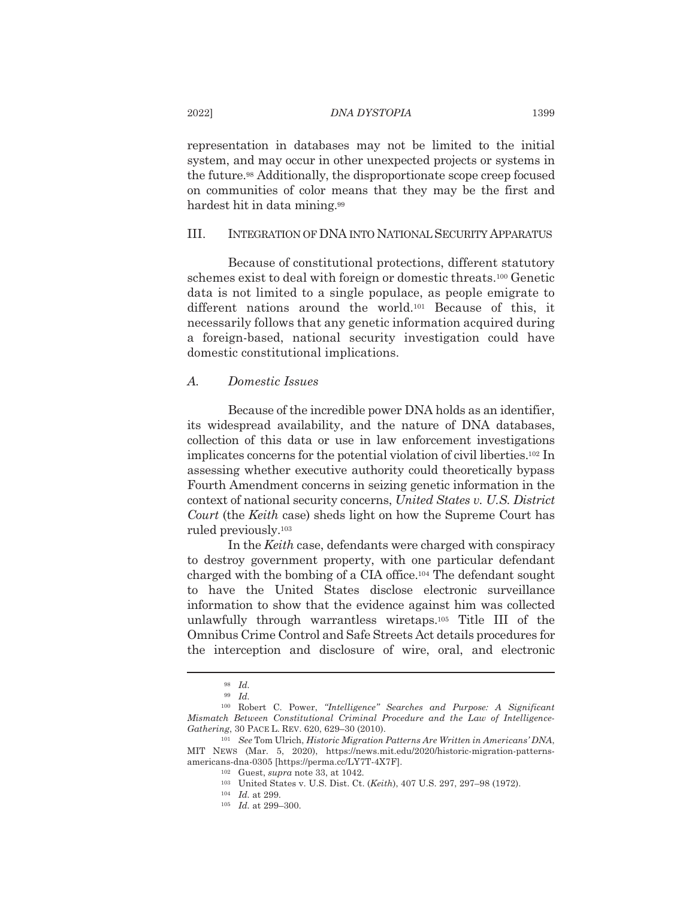representation in databases may not be limited to the initial system, and may occur in other unexpected projects or systems in the future.<sup>98</sup> Additionally, the disproportionate scope creep focused on communities of color means that they may be the first and hardest hit in data mining.99

#### III. INTEGRATION OF DNA INTO NATIONAL SECURITY APPARATUS

Because of constitutional protections, different statutory schemes exist to deal with foreign or domestic threats.<sup>100</sup> Genetic data is not limited to a single populace, as people emigrate to different nations around the world.<sup>101</sup> Because of this, it necessarily follows that any genetic information acquired during a foreign-based, national security investigation could have domestic constitutional implications.

#### **Domestic Issues**  $\overline{A}$ .

Because of the incredible power DNA holds as an identifier, its widespread availability, and the nature of DNA databases, collection of this data or use in law enforcement investigations implicates concerns for the potential violation of civil liberties.<sup>102</sup> In assessing whether executive authority could theoretically bypass Fourth Amendment concerns in seizing genetic information in the context of national security concerns, United States v. U.S. District Court (the Keith case) sheds light on how the Supreme Court has ruled previously.<sup>103</sup>

In the Keith case, defendants were charged with conspiracy to destroy government property, with one particular defendant charged with the bombing of a CIA office.<sup>104</sup> The defendant sought to have the United States disclose electronic surveillance information to show that the evidence against him was collected unlawfully through warrantless wiretaps.<sup>105</sup> Title III of the Omnibus Crime Control and Safe Streets Act details procedures for the interception and disclosure of wire, oral, and electronic

 $98$  Id.

 $99$  Id.

 $^{\rm 100}$  Robert C. Power, "Intelligence" Searches and Purpose: A Significant Mismatch Between Constitutional Criminal Procedure and the Law of Intelligence-Gathering, 30 PACE L. REV. 620, 629-30 (2010).

<sup>&</sup>lt;sup>101</sup> See Tom Ulrich, *Historic Migration Patterns Are Written in Americans' DNA*, MIT NEWS (Mar. 5, 2020), https://news.mit.edu/2020/historic-migration-patternsamericans-dna-0305 [https://perma.cc/LY7T-4X7F].

 $102$  Guest, supra note 33, at 1042.

<sup>&</sup>lt;sup>103</sup> United States v. U.S. Dist. Ct. (Keith), 407 U.S. 297, 297-98 (1972).

 $104$  *Id.* at 299.

 $105$  *Id.* at 299-300.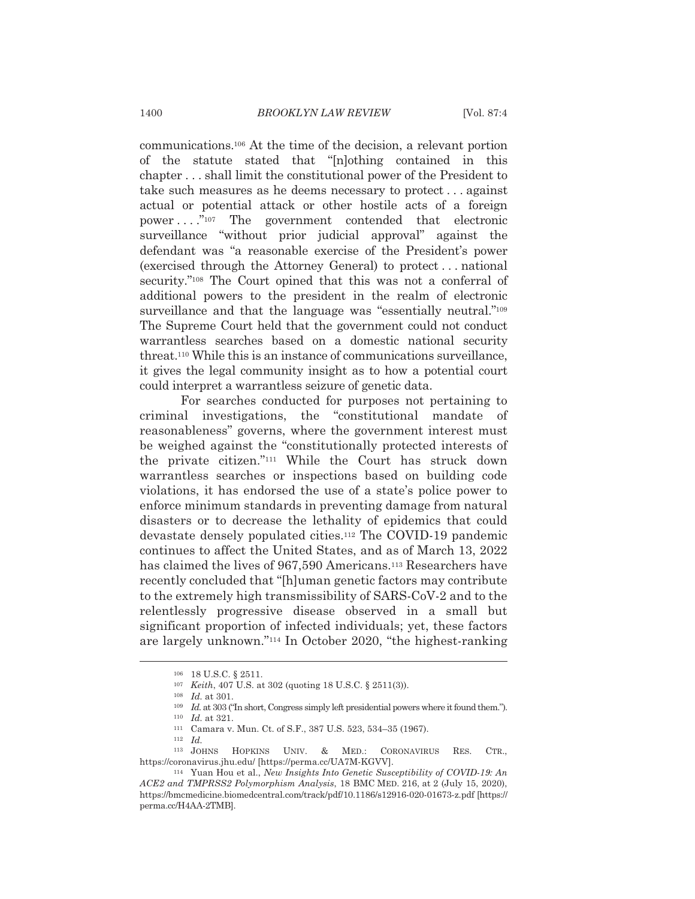communications.<sup>106</sup> At the time of the decision, a relevant portion of the statute stated that "Informing contained in this chapter . . . shall limit the constitutional power of the President to take such measures as he deems necessary to protect... against actual or potential attack or other hostile acts of a foreign power...." $^{107}$  The government contended that electronic surveillance "without prior judicial approval" against the defendant was "a reasonable exercise of the President's power (exercised through the Attorney General) to protect... national security."<sup>108</sup> The Court opined that this was not a conferral of additional powers to the president in the realm of electronic surveillance and that the language was "essentially neutral."<sup>109</sup> The Supreme Court held that the government could not conduct warrantless searches based on a domestic national security threat.<sup>110</sup> While this is an instance of communications surveillance, it gives the legal community insight as to how a potential court could interpret a warrantless seizure of genetic data.

For searches conducted for purposes not pertaining to criminal investigations, the "constitutional mandate of reasonableness" governs, where the government interest must be weighed against the "constitutionally protected interests of the private citizen."<sup>111</sup> While the Court has struck down warrantless searches or inspections based on building code violations, it has endorsed the use of a state's police power to enforce minimum standards in preventing damage from natural disasters or to decrease the lethality of epidemics that could devastate densely populated cities.<sup>112</sup> The COVID-19 pandemic continues to affect the United States, and as of March 13, 2022 has claimed the lives of 967,590 Americans.<sup>113</sup> Researchers have recently concluded that "[h]uman genetic factors may contribute to the extremely high transmissibility of SARS-CoV-2 and to the relentlessly progressive disease observed in a small but significant proportion of infected individuals; yet, these factors are largely unknown."<sup>114</sup> In October 2020, "the highest-ranking

<sup>106 18</sup> U.S.C. § 2511.

<sup>&</sup>lt;sup>107</sup> Keith, 407 U.S. at 302 (quoting 18 U.S.C. § 2511(3)).

 $108$  *Id.* at 301.

<sup>109</sup> Id. at 303 ("In short, Congress simply left presidential powers where it found them.").

 $110$  *Id.* at 321.

<sup>111</sup> Camara v. Mun. Ct. of S.F., 387 U.S. 523, 534-35 (1967).

 $112$  *Id.* 

 $^{\rm 113}$  JOHNS HOPKINS UNIV. & MED.: CORONAVIRUS RES. CTR.. https://coronavirus.jhu.edu/ [https://perma.cc/UA7M-KGVV].

<sup>&</sup>lt;sup>114</sup> Yuan Hou et al., New Insights Into Genetic Susceptibility of COVID-19: An ACE2 and TMPRSS2 Polymorphism Analysis, 18 BMC MED. 216, at 2 (July 15, 2020), https://bmcmedicine.biomedcentral.com/track/pdf/10.1186/s12916-020-01673-z.pdf [https:// perma.cc/H4AA-2TMB].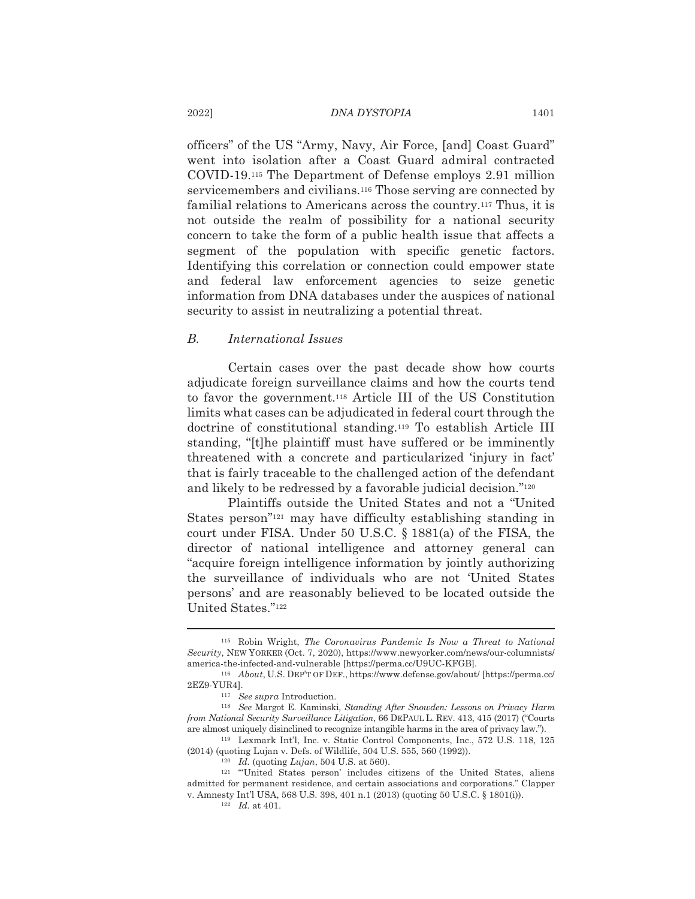officers" of the US "Army, Navy, Air Force, [and] Coast Guard" went into isolation after a Coast Guard admiral contracted COVID-19.<sup>115</sup> The Department of Defense employs 2.91 million servicemembers and civilians.<sup>116</sup> Those serving are connected by familial relations to Americans across the country.<sup>117</sup> Thus, it is not outside the realm of possibility for a national security concern to take the form of a public health issue that affects a segment of the population with specific genetic factors. Identifying this correlation or connection could empower state and federal law enforcement agencies to seize genetic information from DNA databases under the auspices of national security to assist in neutralizing a potential threat.

#### $B$ . International Issues

Certain cases over the past decade show how courts adjudicate foreign surveillance claims and how the courts tend to favor the government.<sup>118</sup> Article III of the US Constitution limits what cases can be adjudicated in federal court through the doctrine of constitutional standing.<sup>119</sup> To establish Article III standing, "[t]he plaintiff must have suffered or be imminently threatened with a concrete and particularized 'injury in fact' that is fairly traceable to the challenged action of the defendant and likely to be redressed by a favorable judicial decision."<sup>120</sup>

Plaintiffs outside the United States and not a "United States person"<sup>121</sup> may have difficulty establishing standing in court under FISA. Under 50 U.S.C. § 1881(a) of the FISA, the director of national intelligence and attorney general can "acquire foreign intelligence information by jointly authorizing the surveillance of individuals who are not 'United States persons' and are reasonably believed to be located outside the United States."122

<sup>115</sup> Robin Wright, The Coronavirus Pandemic Is Now a Threat to National Security, NEW YORKER (Oct. 7, 2020), https://www.newyorker.com/news/our-columnists/ america-the-infected-and-vulnerable [https://perma.cc/U9UC-KFGB].

<sup>116</sup> About, U.S. DEP'T OF DEF., https://www.defense.gov/about/ [https://perma.cc/ 2EZ9-YUR4].

 $^{117}$   $\,$  See supra Introduction.

<sup>&</sup>lt;sup>118</sup> See Margot E. Kaminski, Standing After Snowden: Lessons on Privacy Harm from National Security Surveillance Litigation, 66 DEPAUL L. REV. 413, 415 (2017) ("Courts are almost uniquely disinclined to recognize intangible harms in the area of privacy law.").

<sup>&</sup>lt;sup>119</sup> Lexmark Int'l, Inc. v. Static Control Components, Inc., 572 U.S. 118, 125 (2014) (quoting Lujan v. Defs. of Wildlife, 504 U.S. 555, 560 (1992)).

<sup>&</sup>lt;sup>120</sup> *Id.* (quoting *Lujan*, 504 U.S. at 560).

<sup>&</sup>lt;sup>121</sup> "United States person' includes citizens of the United States, aliens admitted for permanent residence, and certain associations and corporations." Clapper v. Amnesty Int'l USA, 568 U.S. 398, 401 n.1 (2013) (quoting 50 U.S.C. § 1801(i)).

 $122$  *Id.* at 401.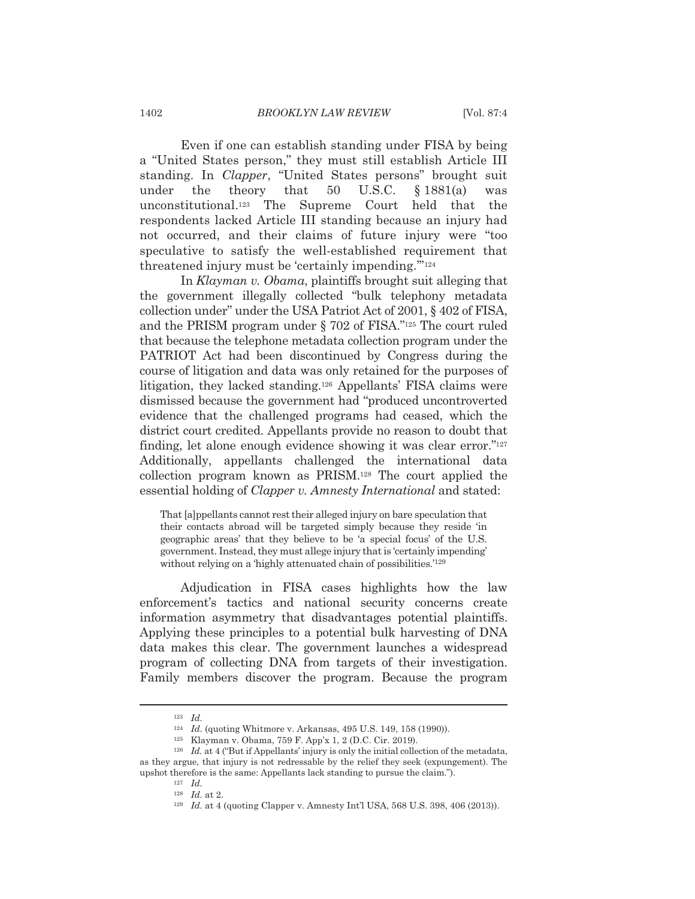Even if one can establish standing under FISA by being a "United States person," they must still establish Article III standing. In *Clapper*, "United States persons" brought suit U.S.C.  $$1881(a)$ under the theory that 50 was unconstitutional.<sup>123</sup> The Supreme Court held that the respondents lacked Article III standing because an injury had not occurred, and their claims of future injury were "too speculative to satisfy the well-established requirement that threatened injury must be 'certainly impending."<sup>124</sup>

In Klayman v. Obama, plaintiffs brought suit alleging that the government illegally collected "bulk telephony metadata" collection under" under the USA Patriot Act of 2001, §402 of FISA, and the PRISM program under  $\S$  702 of FISA."<sup>125</sup> The court ruled that because the telephone metadata collection program under the PATRIOT Act had been discontinued by Congress during the course of litigation and data was only retained for the purposes of litigation, they lacked standing.<sup>126</sup> Appellants' FISA claims were dismissed because the government had "produced uncontroverted" evidence that the challenged programs had ceased, which the district court credited. Appellants provide no reason to doubt that finding, let alone enough evidence showing it was clear error."<sup>127</sup> Additionally, appellants challenged the international data collection program known as PRISM.<sup>128</sup> The court applied the essential holding of *Clapper v. Amnesty International* and stated:

That [a] ppellants cannot rest their alleged injury on bare speculation that their contacts abroad will be targeted simply because they reside 'in geographic areas' that they believe to be 'a special focus' of the U.S. government. Instead, they must allege injury that is 'certainly impending' without relying on a 'highly attenuated chain of possibilities.'<sup>129</sup>

Adjudication in FISA cases highlights how the law enforcement's tactics and national security concerns create information asymmetry that disadvantages potential plaintiffs. Applying these principles to a potential bulk harvesting of DNA data makes this clear. The government launches a widespread program of collecting DNA from targets of their investigation. Family members discover the program. Because the program

 $123$  *Id.* 

<sup>&</sup>lt;sup>124</sup> *Id.* (quoting Whitmore v. Arkansas, 495 U.S. 149, 158 (1990)).

<sup>125</sup> Klayman v. Obama, 759 F. App'x 1, 2 (D.C. Cir. 2019).

 $126$  *Id.* at 4 ("But if Appellants' injury is only the initial collection of the metadata, as they argue, that injury is not redressable by the relief they seek (expungement). The upshot therefore is the same: Appellants lack standing to pursue the claim.").

 $127$  *Id.*  $128$  *Id.* at 2.

<sup>&</sup>lt;sup>129</sup> Id. at 4 (quoting Clapper v. Amnesty Int'l USA, 568 U.S. 398, 406 (2013)).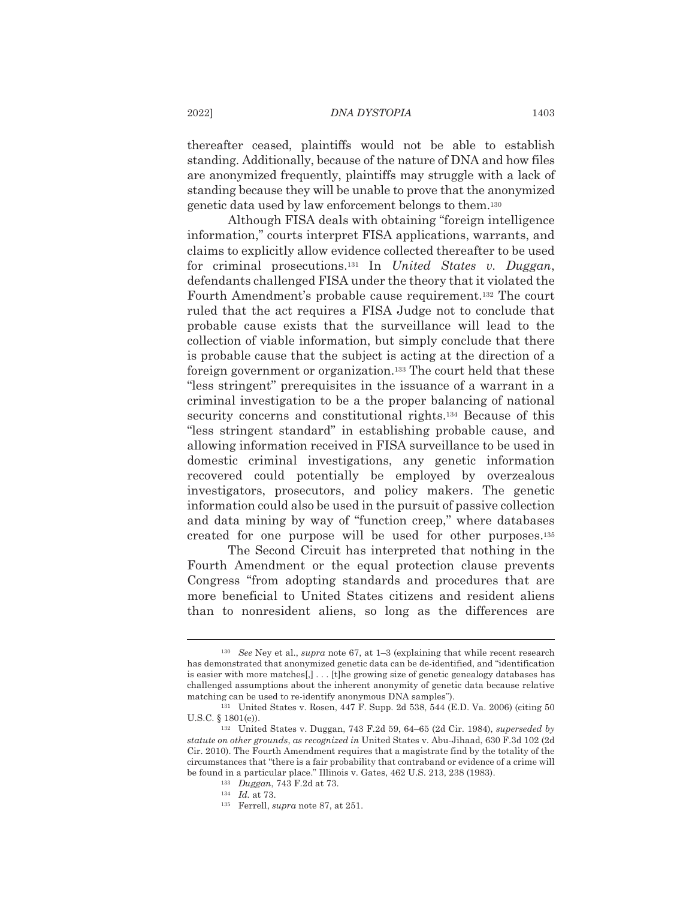thereafter ceased, plaintiffs would not be able to establish standing. Additionally, because of the nature of DNA and how files are anonymized frequently, plaintiffs may struggle with a lack of standing because they will be unable to prove that the anonymized genetic data used by law enforcement belongs to them.<sup>130</sup>

Although FISA deals with obtaining "foreign intelligence" information," courts interpret FISA applications, warrants, and claims to explicitly allow evidence collected thereafter to be used for criminal prosecutions.<sup>131</sup> In *United States v. Duggan*, defendants challenged FISA under the theory that it violated the Fourth Amendment's probable cause requirement.<sup>132</sup> The court ruled that the act requires a FISA Judge not to conclude that probable cause exists that the surveillance will lead to the collection of viable information, but simply conclude that there is probable cause that the subject is acting at the direction of a foreign government or organization.<sup>133</sup> The court held that these "less stringent" prerequisites in the issuance of a warrant in a criminal investigation to be a the proper balancing of national security concerns and constitutional rights.<sup>134</sup> Because of this "less stringent standard" in establishing probable cause, and allowing information received in FISA surveillance to be used in domestic criminal investigations, any genetic information recovered could potentially be employed by overzealous investigators, prosecutors, and policy makers. The genetic information could also be used in the pursuit of passive collection and data mining by way of "function creep," where databases created for one purpose will be used for other purposes.<sup>135</sup>

The Second Circuit has interpreted that nothing in the Fourth Amendment or the equal protection clause prevents Congress "from adopting standards and procedures that are more beneficial to United States citizens and resident aliens than to nonresident aliens, so long as the differences are

<sup>&</sup>lt;sup>130</sup> See Ney et al., *supra* note 67, at  $1-3$  (explaining that while recent research has demonstrated that anonymized genetic data can be de-identified, and "identification" is easier with more matches  $[$ ,  $] \ldots$  [t] he growing size of genetic genealogy databases has challenged assumptions about the inherent anonymity of genetic data because relative matching can be used to re-identify anonymous DNA samples").

<sup>&</sup>lt;sup>131</sup> United States v. Rosen, 447 F. Supp. 2d 538, 544 (E.D. Va. 2006) (citing 50 U.S.C.  $§ 1801(e)$ ).

<sup>&</sup>lt;sup>132</sup> United States v. Duggan, 743 F.2d 59, 64–65 (2d Cir. 1984), *superseded by* statute on other grounds, as recognized in United States v. Abu-Jihaad, 630 F.3d 102 (2d) Cir. 2010). The Fourth Amendment requires that a magistrate find by the totality of the circumstances that "there is a fair probability that contraband or evidence of a crime will be found in a particular place." Illinois v. Gates, 462 U.S. 213, 238 (1983).

<sup>&</sup>lt;sup>133</sup> Duggan, 743 F.2d at 73.

 $134$  *Id.* at 73.

<sup>&</sup>lt;sup>135</sup> Ferrell, *supra* note 87, at 251.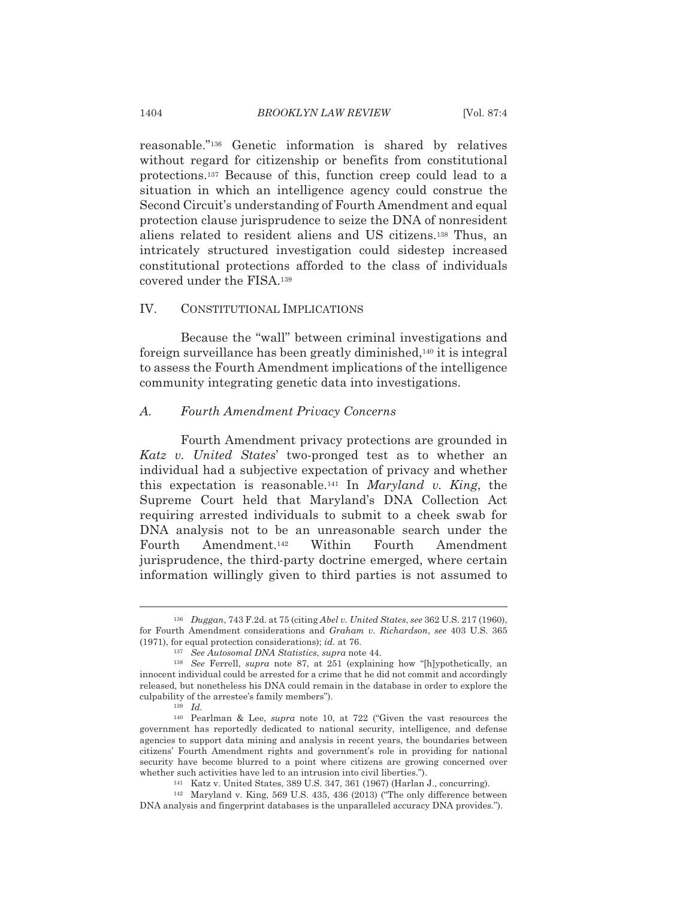reasonable."<sup>136</sup> Genetic information is shared by relatives without regard for citizenship or benefits from constitutional protections.<sup>137</sup> Because of this, function creep could lead to a situation in which an intelligence agency could construe the Second Circuit's understanding of Fourth Amendment and equal protection clause jurisprudence to seize the DNA of nonresident aliens related to resident aliens and US citizens.<sup>138</sup> Thus, an intricately structured investigation could sidestep increased constitutional protections afforded to the class of individuals covered under the FISA.<sup>139</sup>

#### $IV.$ CONSTITUTIONAL IMPLICATIONS

Because the "wall" between criminal investigations and foreign surveillance has been greatly diminished,<sup>140</sup> it is integral to assess the Fourth Amendment implications of the intelligence community integrating genetic data into investigations.

#### $A$ . Fourth Amendment Privacy Concerns

Fourth Amendment privacy protections are grounded in Katz v. United States' two-pronged test as to whether an individual had a subjective expectation of privacy and whether this expectation is reasonable.<sup>141</sup> In *Maryland v. King*, the Supreme Court held that Maryland's DNA Collection Act requiring arrested individuals to submit to a cheek swab for DNA analysis not to be an unreasonable search under the Amendment.<sup>142</sup> Within Fourth Fourth Amendment jurisprudence, the third-party doctrine emerged, where certain information willingly given to third parties is not assumed to

1404

<sup>&</sup>lt;sup>136</sup> Duggan, 743 F.2d. at 75 (citing Abel v. United States, see 362 U.S. 217 (1960), for Fourth Amendment considerations and Graham v. Richardson, see 403 U.S. 365  $(1971)$ , for equal protection considerations); id. at 76.

<sup>&</sup>lt;sup>137</sup> See Autosomal DNA Statistics, supra note 44.

<sup>&</sup>lt;sup>138</sup> See Ferrell, *supra* note 87, at 251 (explaining how "[h]ypothetically, an innocent individual could be arrested for a crime that he did not commit and accordingly released, but nonetheless his DNA could remain in the database in order to explore the culpability of the arrestee's family members").

 $139 \quad Id.$ 

<sup>&</sup>lt;sup>140</sup> Pearlman & Lee, *supra* note 10, at 722 ("Given the vast resources the government has reportedly dedicated to national security, intelligence, and defense agencies to support data mining and analysis in recent years, the boundaries between citizens' Fourth Amendment rights and government's role in providing for national security have become blurred to a point where citizens are growing concerned over whether such activities have led to an intrusion into civil liberties.").

<sup>141</sup> Katz v. United States, 389 U.S. 347, 361 (1967) (Harlan J., concurring).

<sup>&</sup>lt;sup>142</sup> Maryland v. King, 569 U.S. 435, 436 (2013) ("The only difference between DNA analysis and fingerprint databases is the unparalleled accuracy DNA provides.").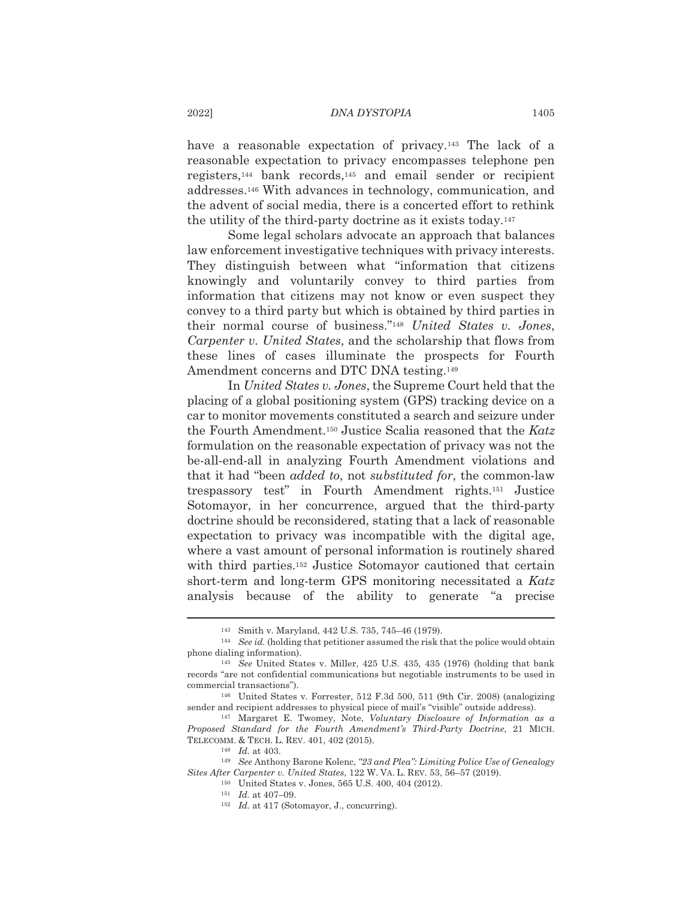have a reasonable expectation of privacy.<sup>143</sup> The lack of a reasonable expectation to privacy encompasses telephone pen registers,<sup>144</sup> bank records,<sup>145</sup> and email sender or recipient addresses.<sup>146</sup> With advances in technology, communication, and the advent of social media, there is a concerted effort to rethink the utility of the third-party doctrine as it exists today.<sup>147</sup>

Some legal scholars advocate an approach that balances law enforcement investigative techniques with privacy interests. They distinguish between what "information that citizens" knowingly and voluntarily convey to third parties from information that citizens may not know or even suspect they convey to a third party but which is obtained by third parties in their normal course of business."<sup>148</sup> United States v. Jones, Carpenter v. United States, and the scholarship that flows from these lines of cases illuminate the prospects for Fourth Amendment concerns and DTC DNA testing.<sup>149</sup>

In United States v. Jones, the Supreme Court held that the placing of a global positioning system (GPS) tracking device on a car to monitor movements constituted a search and seizure under the Fourth Amendment.<sup>150</sup> Justice Scalia reasoned that the Katz formulation on the reasonable expectation of privacy was not the be-all-end-all in analyzing Fourth Amendment violations and that it had "been *added to*, not *substituted for*, the common-law trespassory test" in Fourth Amendment rights.<sup>151</sup> Justice Sotomayor, in her concurrence, argued that the third-party doctrine should be reconsidered, stating that a lack of reasonable expectation to privacy was incompatible with the digital age, where a vast amount of personal information is routinely shared with third parties.<sup>152</sup> Justice Sotomayor cautioned that certain short-term and long-term GPS monitoring necessitated a Katz analysis because of the ability to generate "a precise

<sup>143</sup> Smith v. Maryland, 442 U.S. 735, 745-46 (1979).

<sup>&</sup>lt;sup>144</sup> See id. (holding that petitioner assumed the risk that the police would obtain phone dialing information).

 $^{145}$  See United States v. Miller, 425 U.S. 435, 435 (1976) (holding that bank records "are not confidential communications but negotiable instruments to be used in commercial transactions").

<sup>&</sup>lt;sup>146</sup> United States v. Forrester, 512 F.3d 500, 511 (9th Cir. 2008) (analogizing sender and recipient addresses to physical piece of mail's "visible" outside address).

<sup>&</sup>lt;sup>147</sup> Margaret E. Twomey, Note, Voluntary Disclosure of Information as a Proposed Standard for the Fourth Amendment's Third-Party Doctrine, 21 MICH. TELECOMM. & TECH. L. REV. 401, 402 (2015).

 $^{148}$   $\,$   $Id.$  at 403.

<sup>&</sup>lt;sup>149</sup> See Anthony Barone Kolenc, "23 and Plea": Limiting Police Use of Genealogy Sites After Carpenter v. United States, 122 W. VA. L. REV. 53, 56-57 (2019).

<sup>&</sup>lt;sup>150</sup> United States v. Jones, 565 U.S. 400, 404 (2012).

 $151$  *Id.* at 407-09.

<sup>&</sup>lt;sup>152</sup> Id. at 417 (Sotomayor, J., concurring).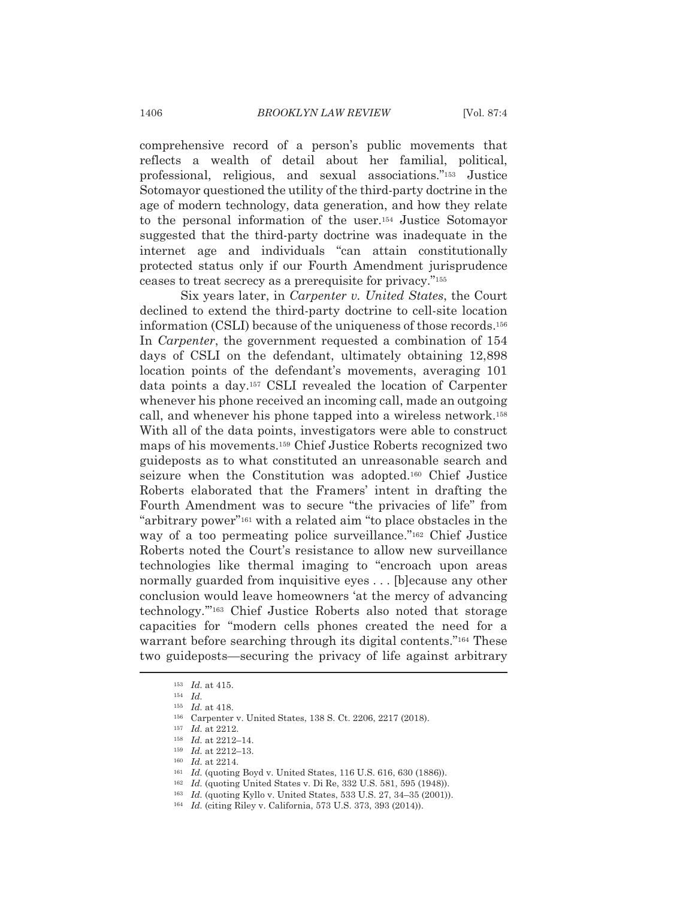comprehensive record of a person's public movements that reflects a wealth of detail about her familial, political, professional, religious, and sexual associations."<sup>153</sup> Justice Sotomayor questioned the utility of the third-party doctrine in the age of modern technology, data generation, and how they relate to the personal information of the user.<sup>154</sup> Justice Sotomayor suggested that the third-party doctrine was inadequate in the internet age and individuals "can attain constitutionally protected status only if our Fourth Amendment jurisprudence ceases to treat secrecy as a prerequisite for privacy."<sup>155</sup>

Six years later, in Carpenter v. United States, the Court declined to extend the third-party doctrine to cell-site location information (CSLI) because of the uniqueness of those records.<sup>156</sup> In *Carpenter*, the government requested a combination of 154 days of CSLI on the defendant, ultimately obtaining 12,898 location points of the defendant's movements, averaging 101 data points a day.<sup>157</sup> CSLI revealed the location of Carpenter whenever his phone received an incoming call, made an outgoing call, and whenever his phone tapped into a wireless network.<sup>158</sup> With all of the data points, investigators were able to construct maps of his movements.<sup>159</sup> Chief Justice Roberts recognized two guideposts as to what constituted an unreasonable search and seizure when the Constitution was adopted.<sup>160</sup> Chief Justice Roberts elaborated that the Framers' intent in drafting the Fourth Amendment was to secure "the privacies of life" from "arbitrary power"<sup>161</sup> with a related aim "to place obstacles in the way of a too permeating police surveillance."<sup>162</sup> Chief Justice Roberts noted the Court's resistance to allow new surveillance technologies like thermal imaging to "encroach upon areas normally guarded from inquisitive eyes . . . [b] ecause any other conclusion would leave homeowners 'at the mercy of advancing technology."<sup>163</sup> Chief Justice Roberts also noted that storage capacities for "modern cells phones created the need for a warrant before searching through its digital contents."<sup>164</sup> These two guideposts—securing the privacy of life against arbitrary

- <sup>161</sup> Id. (quoting Boyd v. United States, 116 U.S. 616, 630 (1886)).
- <sup>162</sup> Id. (quoting United States v. Di Re, 332 U.S. 581, 595 (1948)).
- <sup>163</sup> Id. (quoting Kyllo v. United States, 533 U.S. 27, 34-35 (2001)).
- <sup>164</sup> Id. (citing Riley v. California, 573 U.S. 373, 393 (2014)).

 $153$  *Id.* at 415.

 $154$   $Id$ .

 $^{\scriptscriptstyle 155}$   $\hspace{1mm} Id.$  at 418.

<sup>&</sup>lt;sup>156</sup> Carpenter v. United States, 138 S. Ct. 2206, 2217 (2018).

 $157$  *Id.* at 2212.

<sup>&</sup>lt;sup>158</sup> Id. at 2212-14.

 $159$  *Id.* at 2212-13.

 $160$  *Id.* at 2214.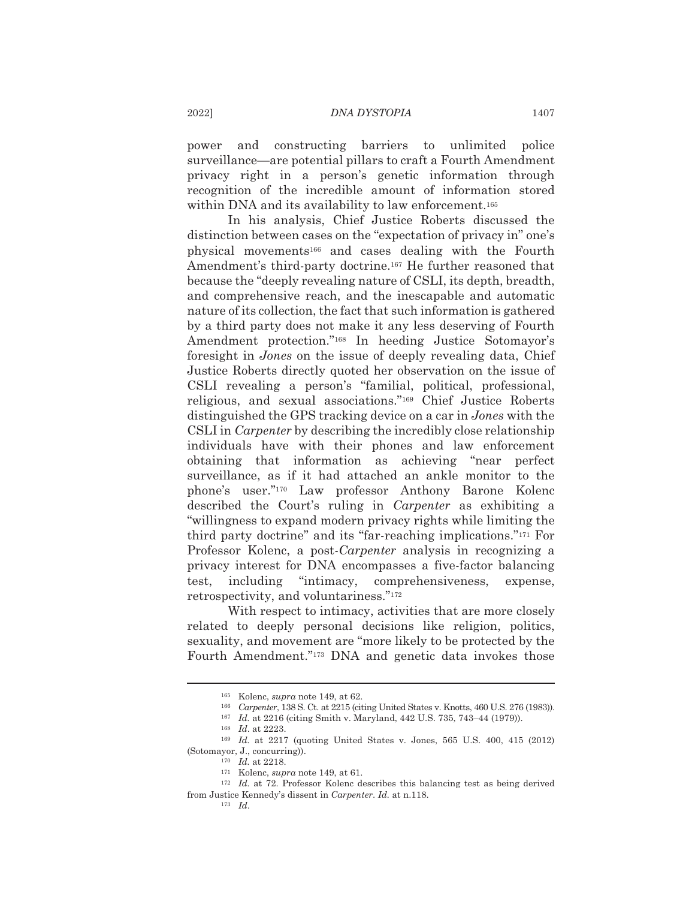and constructing barriers to unlimited police power surveillance—are potential pillars to craft a Fourth Amendment privacy right in a person's genetic information through recognition of the incredible amount of information stored within DNA and its availability to law enforcement.<sup>165</sup>

In his analysis, Chief Justice Roberts discussed the distinction between cases on the "expectation of privacy in" one's physical movements<sup>166</sup> and cases dealing with the Fourth Amendment's third-party doctrine.<sup>167</sup> He further reasoned that because the "deeply revealing nature of CSLI, its depth, breadth, and comprehensive reach, and the inescapable and automatic nature of its collection, the fact that such information is gathered by a third party does not make it any less deserving of Fourth Amendment protection."<sup>168</sup> In heeding Justice Sotomayor's foresight in *Jones* on the issue of deeply revealing data, Chief Justice Roberts directly quoted her observation on the issue of CSLI revealing a person's "familial, political, professional, religious, and sexual associations."<sup>169</sup> Chief Justice Roberts distinguished the GPS tracking device on a car in *Jones* with the CSLI in *Carpenter* by describing the incredibly close relationship individuals have with their phones and law enforcement obtaining that information as achieving "near perfect surveillance, as if it had attached an ankle monitor to the phone's user."<sup>170</sup> Law professor Anthony Barone Kolenc described the Court's ruling in Carpenter as exhibiting a "willingness to expand modern privacy rights while limiting the third party doctrine" and its "far-reaching implications."171 For Professor Kolenc, a post-*Carpenter* analysis in recognizing a privacy interest for DNA encompasses a five-factor balancing "intimacy, test, including comprehensiveness, expense, retrospectivity, and voluntariness."172

With respect to intimacy, activities that are more closely related to deeply personal decisions like religion, politics, sexuality, and movement are "more likely to be protected by the Fourth Amendment."<sup>173</sup> DNA and genetic data invokes those

 $173$  *Id.* 

<sup>&</sup>lt;sup>165</sup> Kolenc, *supra* note 149, at 62.

<sup>&</sup>lt;sup>166</sup> Carpenter, 138 S. Ct. at 2215 (citing United States v. Knotts, 460 U.S. 276 (1983)).

<sup>&</sup>lt;sup>167</sup> Id. at 2216 (citing Smith v. Maryland, 442 U.S. 735, 743-44 (1979)).

<sup>&</sup>lt;sup>168</sup> *Id.* at 2223.

<sup>&</sup>lt;sup>169</sup> Id. at 2217 (quoting United States v. Jones, 565 U.S. 400, 415 (2012) (Sotomayor, J., concurring)).

 $170$  *Id.* at 2218.

 $^{171}$  Kolenc, supra note 149, at 61.

<sup>&</sup>lt;sup>172</sup> Id. at 72. Professor Kolenc describes this balancing test as being derived from Justice Kennedy's dissent in Carpenter. Id. at n.118.

<sup>2022]</sup>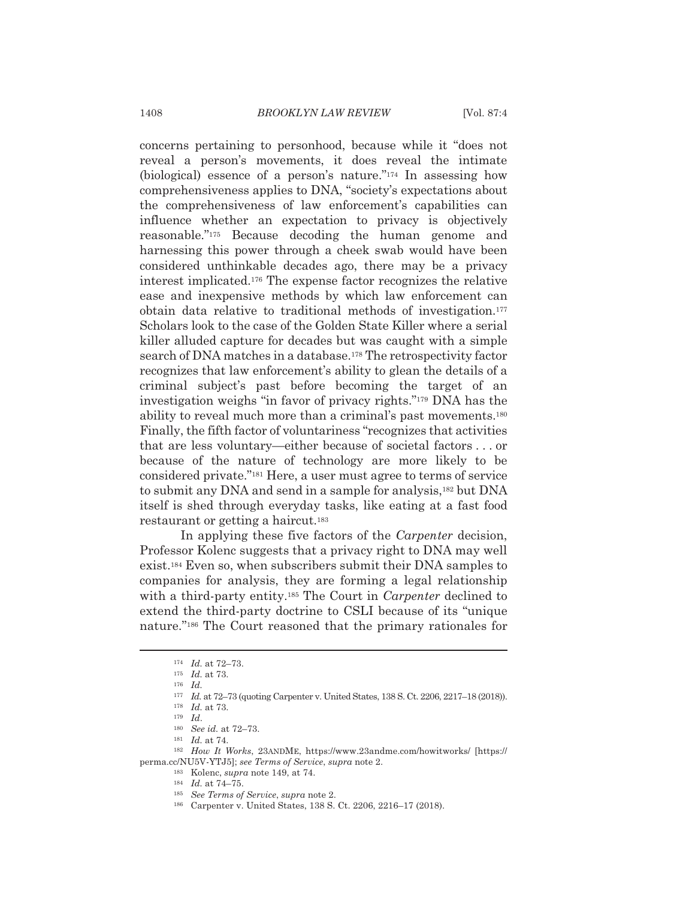concerns pertaining to personhood, because while it "does not" reveal a person's movements, it does reveal the intimate (biological) essence of a person's nature." $174$  In assessing how comprehensiveness applies to DNA, "society's expectations about the comprehensiveness of law enforcement's capabilities can influence whether an expectation to privacy is objectively reasonable."<sup>175</sup> Because decoding the human genome and harnessing this power through a cheek swab would have been considered unthinkable decades ago, there may be a privacy interest implicated.<sup>176</sup> The expense factor recognizes the relative ease and inexpensive methods by which law enforcement can obtain data relative to traditional methods of investigation.<sup>177</sup> Scholars look to the case of the Golden State Killer where a serial killer alluded capture for decades but was caught with a simple search of DNA matches in a database.<sup>178</sup> The retrospectivity factor recognizes that law enforcement's ability to glean the details of a criminal subject's past before becoming the target of an investigation weighs "in favor of privacy rights."<sup>179</sup> DNA has the ability to reveal much more than a criminal's past movements.<sup>180</sup> Finally, the fifth factor of voluntariness "recognizes that activities that are less voluntary—either because of societal factors . . . or because of the nature of technology are more likely to be considered private."<sup>181</sup> Here, a user must agree to terms of service to submit any DNA and send in a sample for analysis,<sup>182</sup> but DNA itself is shed through everyday tasks, like eating at a fast food restaurant or getting a haircut.<sup>183</sup>

In applying these five factors of the *Carpenter* decision, Professor Kolenc suggests that a privacy right to DNA may well exist.<sup>184</sup> Even so, when subscribers submit their DNA samples to companies for analysis, they are forming a legal relationship with a third-party entity.<sup>185</sup> The Court in *Carpenter* declined to extend the third-party doctrine to CSLI because of its "unique nature."<sup>186</sup> The Court reasoned that the primary rationales for

<sup>185</sup> See Terms of Service, supra note 2.

 $174$  *Id.* at  $72-73$ .

 $175$  *Id.* at 73.

 $^{176}$   $\,$   $Id.$ 

<sup>177</sup> Id. at 72-73 (quoting Carpenter v. United States, 138 S. Ct. 2206, 2217-18 (2018)).

 $^{\scriptscriptstyle 178}$   $\hspace{1mm} Id.$  at 73.  $179$  *Id.* 

 $180$  See id. at 72-73.  $181$  *Id.* at 74.

 $^{182}$  How It Works, 23ANDME, https://www.23andme.com/howitworks/ [https:// perma.cc/NU5V-YTJ5]; see Terms of Service, supra note 2.

<sup>183</sup> Kolenc, *supra* note 149, at 74.

 $184$  *Id.* at 74-75.

<sup>&</sup>lt;sup>186</sup> Carpenter v. United States, 138 S. Ct. 2206, 2216-17 (2018).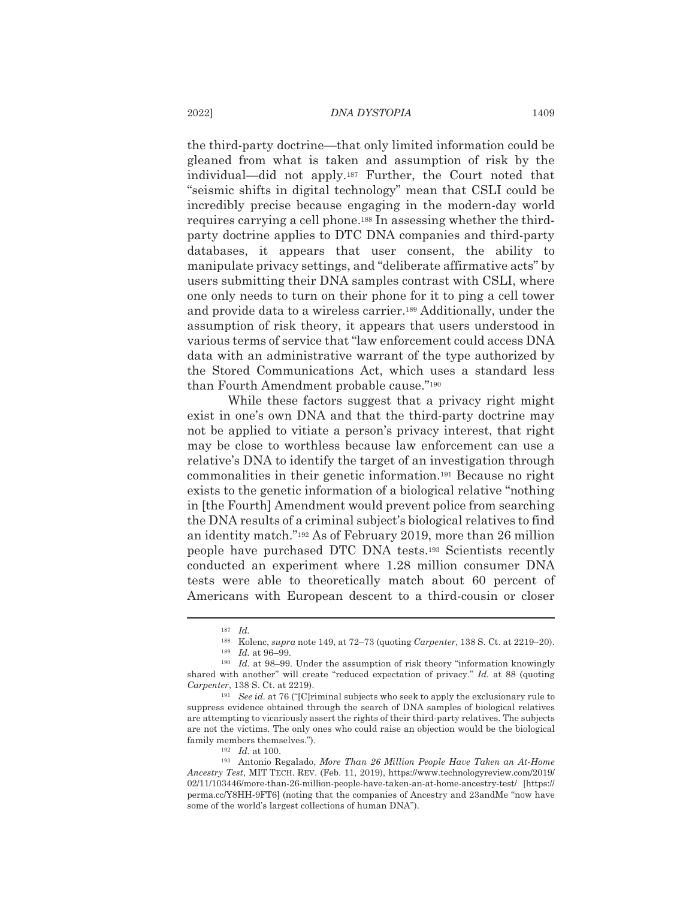the third-party doctrine—that only limited information could be gleaned from what is taken and assumption of risk by the individual—did not apply.<sup>187</sup> Further, the Court noted that "seismic shifts in digital technology" mean that CSLI could be incredibly precise because engaging in the modern-day world requires carrying a cell phone.<sup>188</sup> In assessing whether the thirdparty doctrine applies to DTC DNA companies and third-party databases, it appears that user consent, the ability to manipulate privacy settings, and "deliberate affirmative acts" by users submitting their DNA samples contrast with CSLI, where one only needs to turn on their phone for it to ping a cell tower and provide data to a wireless carrier.<sup>189</sup> Additionally, under the assumption of risk theory, it appears that users understood in various terms of service that "law enforcement could access DNA data with an administrative warrant of the type authorized by the Stored Communications Act, which uses a standard less than Fourth Amendment probable cause."<sup>190</sup>

While these factors suggest that a privacy right might exist in one's own DNA and that the third-party doctrine may not be applied to vitiate a person's privacy interest, that right may be close to worthless because law enforcement can use a relative's DNA to identify the target of an investigation through commonalities in their genetic information.<sup>191</sup> Because no right exists to the genetic information of a biological relative "nothing" in [the Fourth] Amendment would prevent police from searching the DNA results of a criminal subject's biological relatives to find an identity match."<sup>192</sup> As of February 2019, more than 26 million people have purchased DTC DNA tests.<sup>193</sup> Scientists recently conducted an experiment where 1.28 million consumer DNA tests were able to theoretically match about 60 percent of Americans with European descent to a third-cousin or closer

2022]

 $187$  *Id.* 

<sup>188</sup> Kolenc, supra note 149, at 72–73 (quoting Carpenter, 138 S. Ct. at 2219–20).

 $189$  *Id.* at 96-99.

 $190$  *Id.* at 98–99. Under the assumption of risk theory "information knowingly shared with another" will create "reduced expectation of privacy." Id. at 88 (quoting Carpenter, 138 S. Ct. at 2219).

<sup>&</sup>lt;sup>191</sup> See id. at 76 ("[C]riminal subjects who seek to apply the exclusionary rule to suppress evidence obtained through the search of DNA samples of biological relatives are attempting to vicariously assert the rights of their third-party relatives. The subjects are not the victims. The only ones who could raise an objection would be the biological family members themselves.").

 $192$  *Id.* at 100.

<sup>193</sup> Antonio Regalado, More Than 26 Million People Have Taken an At-Home Ancestry Test, MIT TECH. REV. (Feb. 11, 2019), https://www.technologyreview.com/2019/ 02/11/103446/more-than-26-million-people-have-taken-an-at-home-ancestry-test/ [https:// perma.cc/Y8HH-9FT6] (noting that the companies of Ancestry and 23andMe "now have some of the world's largest collections of human DNA").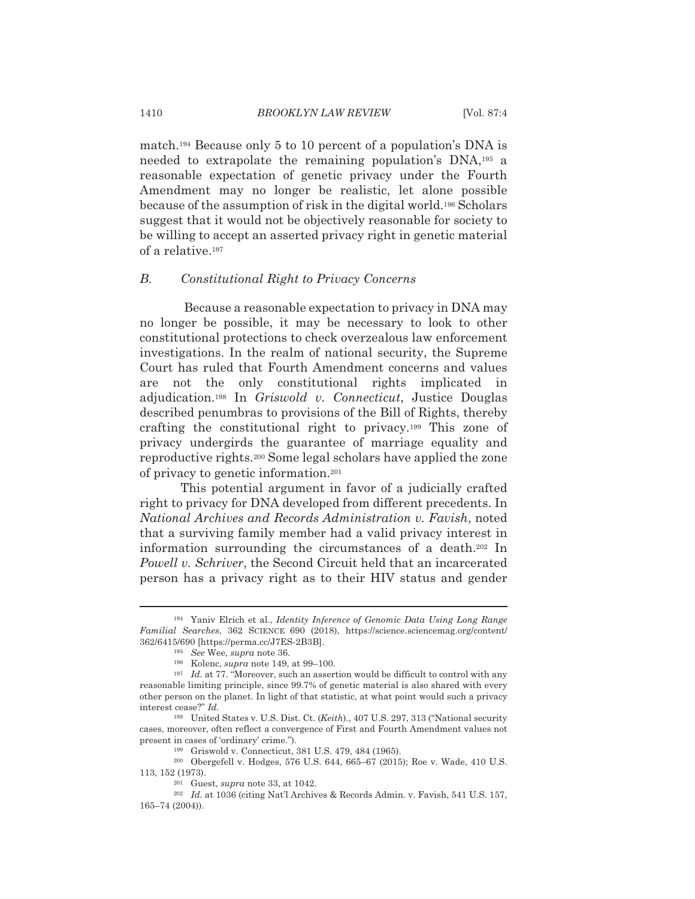match.<sup>194</sup> Because only 5 to 10 percent of a population's DNA is needed to extrapolate the remaining population's DNA,<sup>195</sup> a reasonable expectation of genetic privacy under the Fourth Amendment may no longer be realistic, let alone possible because of the assumption of risk in the digital world.<sup>196</sup> Scholars suggest that it would not be objectively reasonable for society to be willing to accept an asserted privacy right in genetic material of a relative.<sup>197</sup>

#### $B<sub>1</sub>$ Constitutional Right to Privacy Concerns

Because a reasonable expectation to privacy in DNA may no longer be possible, it may be necessary to look to other constitutional protections to check overzealous law enforcement investigations. In the realm of national security, the Supreme Court has ruled that Fourth Amendment concerns and values are not the only constitutional rights implicated in adjudication.<sup>198</sup> In *Griswold v. Connecticut*, Justice Douglas described penumbras to provisions of the Bill of Rights, thereby crafting the constitutional right to privacy.<sup>199</sup> This zone of privacy undergirds the guarantee of marriage equality and reproductive rights.<sup>200</sup> Some legal scholars have applied the zone of privacy to genetic information.<sup>201</sup>

This potential argument in favor of a judicially crafted right to privacy for DNA developed from different precedents. In National Archives and Records Administration v. Favish, noted that a surviving family member had a valid privacy interest in information surrounding the circumstances of a death.<sup>202</sup> In *Powell v. Schriver*, the Second Circuit held that an incarcerated person has a privacy right as to their HIV status and gender

<sup>&</sup>lt;sup>194</sup> Yaniv Elrich et al., *Identity Inference of Genomic Data Using Long Range* Familial Searches, 362 SCIENCE 690 (2018), https://science.sciencemag.org/content/ 362/6415/690 [https://perma.cc/J7ES-2B3B].

<sup>&</sup>lt;sup>195</sup> See Wee, supra note 36.

<sup>&</sup>lt;sup>196</sup> Kolenc, *supra* note 149, at 99-100.

 $197$  Id. at 77. "Moreover, such an assertion would be difficult to control with any reasonable limiting principle, since 99.7% of genetic material is also shared with every other person on the planet. In light of that statistic, at what point would such a privacy interest cease?" Id.

<sup>&</sup>lt;sup>198</sup> United States v. U.S. Dist. Ct. (Keith)., 407 U.S. 297, 313 ("National security cases, moreover, often reflect a convergence of First and Fourth Amendment values not present in cases of 'ordinary' crime.").

<sup>&</sup>lt;sup>199</sup> Griswold v. Connecticut, 381 U.S. 479, 484 (1965).

<sup>&</sup>lt;sup>200</sup> Obergefell v. Hodges, 576 U.S. 644, 665-67 (2015); Roe v. Wade, 410 U.S. 113, 152 (1973).

 $201$  Guest, *supra* note 33, at 1042.

 $^{202}$  Id. at 1036 (citing Nat'l Archives & Records Admin. v. Favish, 541 U.S. 157,  $165 - 74(2004)$ .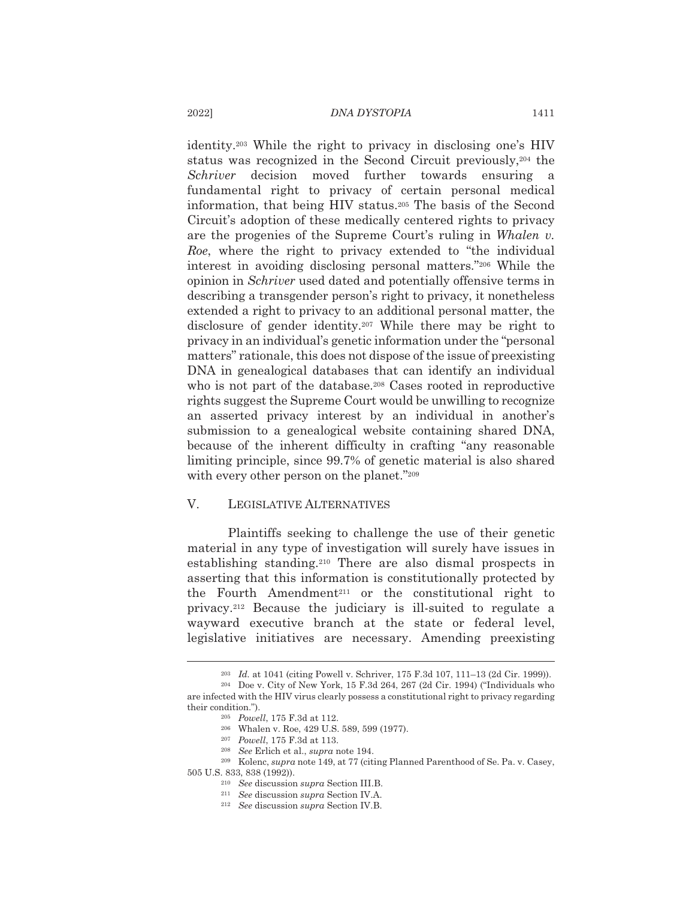identity.<sup>203</sup> While the right to privacy in disclosing one's HIV status was recognized in the Second Circuit previously,<sup>204</sup> the Schriver decision moved further towards ensuring a fundamental right to privacy of certain personal medical information, that being HIV status.<sup>205</sup> The basis of the Second Circuit's adoption of these medically centered rights to privacy are the progenies of the Supreme Court's ruling in Whalen v. Roe, where the right to privacy extended to "the individual" interest in avoiding disclosing personal matters."206 While the opinion in Schriver used dated and potentially offensive terms in describing a transgender person's right to privacy, it nonetheless extended a right to privacy to an additional personal matter, the disclosure of gender identity.<sup>207</sup> While there may be right to privacy in an individual's genetic information under the "personal" matters" rationale, this does not dispose of the issue of preexisting DNA in genealogical databases that can identify an individual who is not part of the database.<sup>208</sup> Cases rooted in reproductive rights suggest the Supreme Court would be unwilling to recognize an asserted privacy interest by an individual in another's submission to a genealogical website containing shared DNA, because of the inherent difficulty in crafting "any reasonable" limiting principle, since 99.7% of genetic material is also shared with every other person on the planet."209

#### $V_{\alpha}$ LEGISLATIVE ALTERNATIVES

Plaintiffs seeking to challenge the use of their genetic material in any type of investigation will surely have issues in establishing standing.<sup>210</sup> There are also dismal prospects in asserting that this information is constitutionally protected by the Fourth Amendment<sup>211</sup> or the constitutional right to privacy.<sup>212</sup> Because the judiciary is ill-suited to regulate a wayward executive branch at the state or federal level, legislative initiatives are necessary. Amending preexisting

<sup>&</sup>lt;sup>203</sup> Id. at 1041 (citing Powell v. Schriver, 175 F.3d 107, 111–13 (2d Cir. 1999)).

<sup>&</sup>lt;sup>204</sup> Doe v. City of New York, 15 F.3d 264, 267 (2d Cir. 1994) ("Individuals who are infected with the HIV virus clearly possess a constitutional right to privacy regarding their condition.").

<sup>&</sup>lt;sup>205</sup> Powell, 175 F.3d at 112.

<sup>&</sup>lt;sup>206</sup> Whalen v. Roe, 429 U.S. 589, 599 (1977).

<sup>&</sup>lt;sup>207</sup> Powell, 175 F.3d at 113.

 $^{208}\;$  See Erlich et al., supra note 194.

<sup>&</sup>lt;sup>209</sup> Kolenc, *supra* note 149, at 77 (citing Planned Parenthood of Se. Pa. v. Casey, 505 U.S. 833, 838 (1992)).

<sup>&</sup>lt;sup>210</sup> See discussion supra Section III.B.

<sup>&</sup>lt;sup>211</sup> See discussion supra Section IV.A.

<sup>&</sup>lt;sup>212</sup> See discussion supra Section IV.B.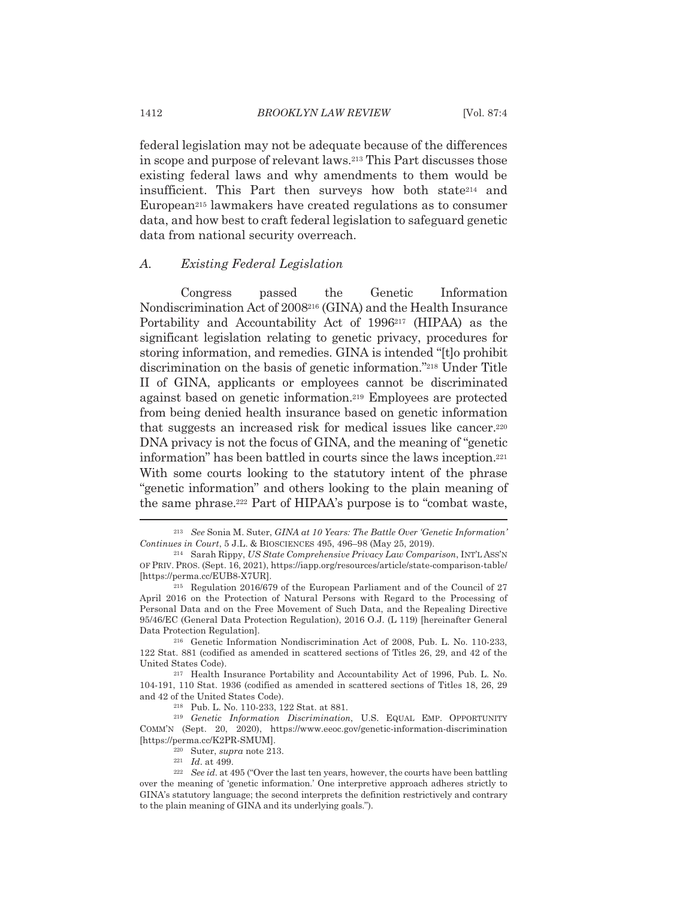federal legislation may not be adequate because of the differences in scope and purpose of relevant laws.<sup>213</sup> This Part discusses those existing federal laws and why amendments to them would be insufficient. This Part then surveys how both state<sup>214</sup> and European<sup>215</sup> lawmakers have created regulations as to consumer data, and how best to craft federal legislation to safeguard genetic data from national security overreach.

#### $A_{\cdot}$ Existing Federal Legislation

Congress passed the Genetic Information Nondiscrimination Act of 2008<sup>216</sup> (GINA) and the Health Insurance Portability and Accountability Act of 1996<sup>217</sup> (HIPAA) as the significant legislation relating to genetic privacy, procedures for storing information, and remedies. GINA is intended "[t] o prohibit discrimination on the basis of genetic information."<sup>218</sup> Under Title II of GINA, applicants or employees cannot be discriminated against based on genetic information.<sup>219</sup> Employees are protected from being denied health insurance based on genetic information that suggests an increased risk for medical issues like cancer.<sup>220</sup> DNA privacy is not the focus of GINA, and the meaning of "genetic" information" has been battled in courts since the laws inception.<sup>221</sup> With some courts looking to the statutory intent of the phrase "genetic information" and others looking to the plain meaning of the same phrase.<sup>222</sup> Part of HIPAA's purpose is to "combat waste,

 $221$  *Id.* at 499.

<sup>&</sup>lt;sup>213</sup> See Sonia M. Suter, GINA at 10 Years: The Battle Over 'Genetic Information' Continues in Court, 5 J.L. & BIOSCIENCES 495, 496-98 (May 25, 2019).

<sup>&</sup>lt;sup>214</sup> Sarah Rippy, US State Comprehensive Privacy Law Comparison, INT'LASS'N OF PRIV. PROS. (Sept. 16, 2021), https://iapp.org/resources/article/state-comparison-table/ [https://perma.cc/EUB8-X7UR].

<sup>&</sup>lt;sup>215</sup> Regulation 2016/679 of the European Parliament and of the Council of 27 April 2016 on the Protection of Natural Persons with Regard to the Processing of Personal Data and on the Free Movement of Such Data, and the Repealing Directive 95/46/EC (General Data Protection Regulation), 2016 O.J. (L 119) [hereinafter General Data Protection Regulation].

<sup>&</sup>lt;sup>216</sup> Genetic Information Nondiscrimination Act of 2008, Pub. L. No. 110-233, 122 Stat. 881 (codified as amended in scattered sections of Titles 26, 29, and 42 of the United States Code).

<sup>&</sup>lt;sup>217</sup> Health Insurance Portability and Accountability Act of 1996, Pub. L. No. 104-191, 110 Stat. 1936 (codified as amended in scattered sections of Titles 18, 26, 29 and 42 of the United States Code).

<sup>&</sup>lt;sup>218</sup> Pub. L. No. 110-233, 122 Stat. at 881.

<sup>&</sup>lt;sup>219</sup> Genetic Information Discrimination, U.S. EQUAL EMP. OPPORTUNITY COMM'N (Sept. 20, 2020), https://www.eeoc.gov/genetic-information-discrimination [https://perma.cc/K2PR-SMUM].

 $^{220}$  Suter, supra note 213.

<sup>&</sup>lt;sup>222</sup> See id. at 495 ("Over the last ten years, however, the courts have been battling over the meaning of 'genetic information.' One interpretive approach adheres strictly to GINA's statutory language; the second interprets the definition restrictively and contrary to the plain meaning of GINA and its underlying goals.").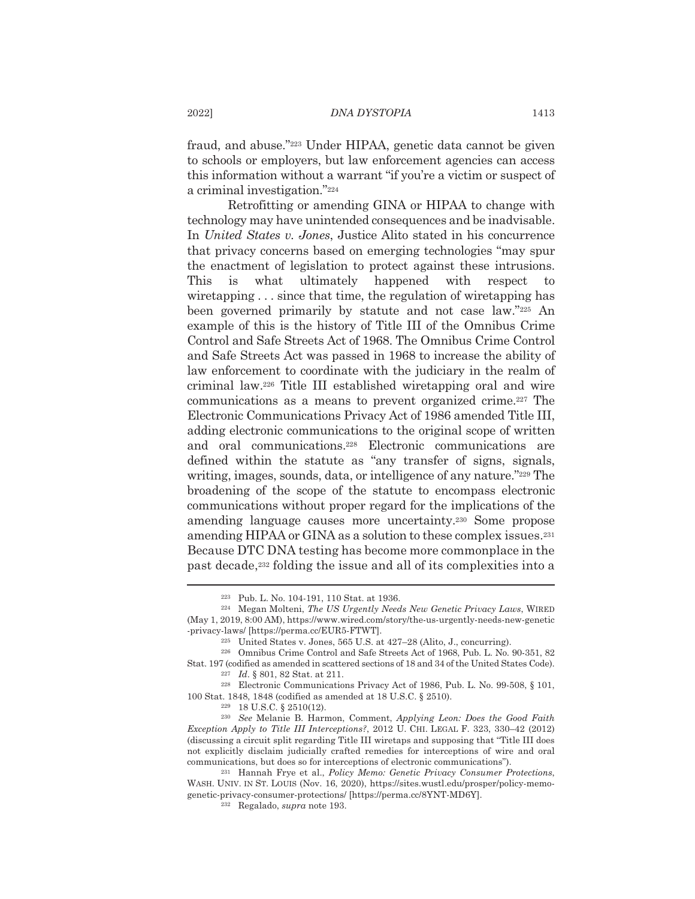fraud, and abuse."223 Under HIPAA, genetic data cannot be given to schools or employers, but law enforcement agencies can access this information without a warrant "if you're a victim or suspect of a criminal investigation."224

Retrofitting or amending GINA or HIPAA to change with technology may have unintended consequences and be inadvisable. In United States v. Jones, Justice Alito stated in his concurrence that privacy concerns based on emerging technologies "may spur the enactment of legislation to protect against these intrusions. This is what ultimately happened with respect  $\mathbf{t}$ wiretapping  $\ldots$  since that time, the regulation of wiretapping has been governed primarily by statute and not case law."225 An example of this is the history of Title III of the Omnibus Crime Control and Safe Streets Act of 1968. The Omnibus Crime Control and Safe Streets Act was passed in 1968 to increase the ability of law enforcement to coordinate with the judiciary in the realm of criminal law.<sup>226</sup> Title III established wiretapping oral and wire communications as a means to prevent organized crime.<sup>227</sup> The Electronic Communications Privacy Act of 1986 amended Title III, adding electronic communications to the original scope of written and oral communications.<sup>228</sup> Electronic communications are defined within the statute as "any transfer of signs, signals, writing, images, sounds, data, or intelligence of any nature."229 The broadening of the scope of the statute to encompass electronic communications without proper regard for the implications of the amending language causes more uncertainty.<sup>230</sup> Some propose amending HIPAA or GINA as a solution to these complex issues.<sup>231</sup> Because DTC DNA testing has become more commonplace in the past decade,<sup>232</sup> folding the issue and all of its complexities into a

<sup>&</sup>lt;sup>223</sup> Pub. L. No. 104-191, 110 Stat. at 1936.

<sup>&</sup>lt;sup>224</sup> Megan Molteni, *The US Urgently Needs New Genetic Privacy Laws*, WIRED (May 1, 2019, 8:00 AM), https://www.wired.com/story/the-us-urgently-needs-new-genetic -privacy-laws/ [https://perma.cc/EUR5-FTWT].

<sup>&</sup>lt;sup>225</sup> United States v. Jones, 565 U.S. at 427-28 (Alito, J., concurring).

<sup>&</sup>lt;sup>226</sup> Omnibus Crime Control and Safe Streets Act of 1968, Pub. L. No. 90-351, 82 Stat. 197 (codified as amended in scattered sections of 18 and 34 of the United States Code). <sup>227</sup> Id. § 801, 82 Stat. at 211.

<sup>&</sup>lt;sup>228</sup> Electronic Communications Privacy Act of 1986, Pub. L. No. 99-508, § 101, 100 Stat. 1848, 1848 (codified as amended at 18 U.S.C. § 2510).

<sup>&</sup>lt;sup>229</sup> 18 U.S.C. § 2510(12).

<sup>&</sup>lt;sup>230</sup> See Melanie B. Harmon, Comment, Applying Leon: Does the Good Faith Exception Apply to Title III Interceptions?, 2012 U. CHI. LEGAL F. 323, 330–42 (2012) (discussing a circuit split regarding Title III wiretaps and supposing that "Title III does") not explicitly disclaim judicially crafted remedies for interceptions of wire and oral communications, but does so for interceptions of electronic communications").

<sup>&</sup>lt;sup>231</sup> Hannah Frye et al., Policy Memo: Genetic Privacy Consumer Protections, WASH. UNIV. IN ST. LOUIS (Nov. 16, 2020), https://sites.wustl.edu/prosper/policy-memogenetic-privacy-consumer-protections/ [https://perma.cc/8YNT-MD6Y].

<sup>&</sup>lt;sup>232</sup> Regalado, *supra* note 193.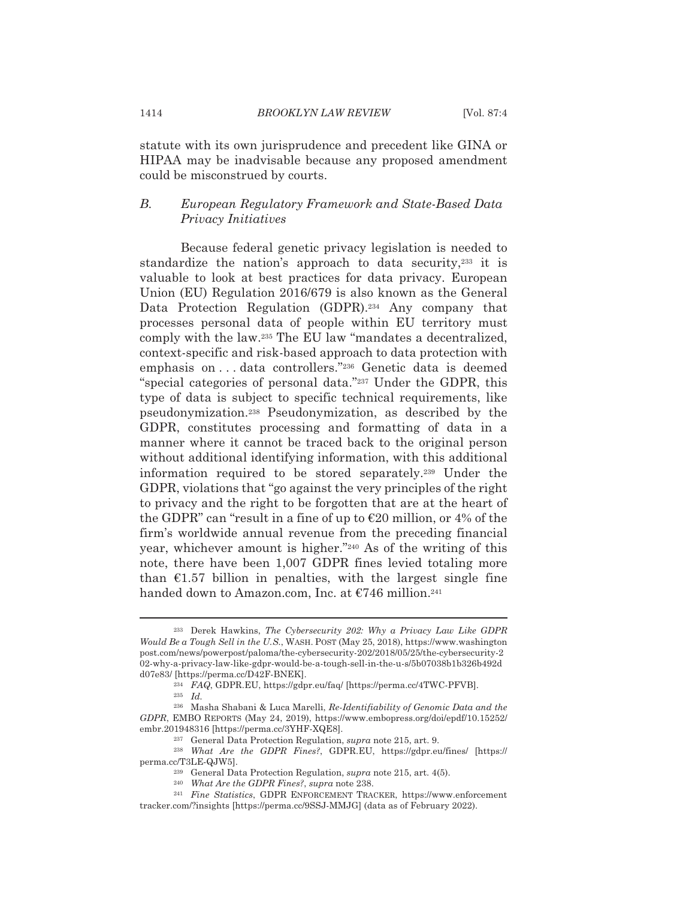statute with its own jurisprudence and precedent like GINA or HIPAA may be inadvisable because any proposed amendment could be misconstrued by courts.

### $B_{\cdot}$ European Regulatory Framework and State-Based Data Privacy Initiatives

Because federal genetic privacy legislation is needed to standardize the nation's approach to data security,<sup>233</sup> it is valuable to look at best practices for data privacy. European Union (EU) Regulation 2016/679 is also known as the General Data Protection Regulation (GDPR).<sup>234</sup> Any company that processes personal data of people within EU territory must comply with the law.<sup>235</sup> The EU law "mandates a decentralized, context-specific and risk-based approach to data protection with emphasis on...data controllers."236 Genetic data is deemed "special categories of personal data."237 Under the GDPR, this type of data is subject to specific technical requirements, like pseudonymization.<sup>238</sup> Pseudonymization, as described by the GDPR, constitutes processing and formatting of data in a manner where it cannot be traced back to the original person without additional identifying information, with this additional information required to be stored separately.<sup>239</sup> Under the GDPR, violations that "go against the very principles of the right" to privacy and the right to be forgotten that are at the heart of the GDPR" can "result in a fine of up to  $E20$  million, or 4% of the firm's worldwide annual revenue from the preceding financial year, whichever amount is higher."240 As of the writing of this note, there have been 1,007 GDPR fines levied totaling more than  $\epsilon$ 1.57 billion in penalties, with the largest single fine handed down to Amazon.com, Inc. at €746 million.<sup>241</sup>

<sup>&</sup>lt;sup>233</sup> Derek Hawkins, The Cybersecurity 202: Why a Privacy Law Like GDPR Would Be a Tough Sell in the U.S., WASH. POST (May 25, 2018), https://www.washington post.com/news/powerpost/paloma/the-cybersecurity-202/2018/05/25/the-cybersecurity-2 02-why-a-privacy-law-like-gdpr-would-be-a-tough-sell-in-the-u-s/5b07038b1b326b492d d07e83/ [https://perma.cc/D42F-BNEK].

<sup>&</sup>lt;sup>234</sup> FAQ, GDPR.EU, https://gdpr.eu/faq/ [https://perma.cc/4TWC-PFVB].

 $235$  *Id.* 

<sup>&</sup>lt;sup>236</sup> Masha Shabani & Luca Marelli, Re-Identifiability of Genomic Data and the GDPR, EMBO REPORTS (May 24, 2019), https://www.embopress.org/doi/epdf/10.15252/ embr.201948316 [https://perma.cc/3YHF-XQE8].

<sup>&</sup>lt;sup>237</sup> General Data Protection Regulation, *supra* note 215, art. 9.

<sup>&</sup>lt;sup>238</sup> What Are the GDPR Fines?, GDPR.EU, https://gdpr.eu/fines/ [https:// perma.cc/T3LE-QJW5].

<sup>&</sup>lt;sup>239</sup> General Data Protection Regulation, *supra* note 215, art. 4(5).

<sup>&</sup>lt;sup>240</sup> What Are the GDPR Fines?, supra note 238.

<sup>&</sup>lt;sup>241</sup> Fine Statistics, GDPR ENFORCEMENT TRACKER, https://www.enforcement tracker.com/?insights [https://perma.cc/9SSJ-MMJG] (data as of February 2022).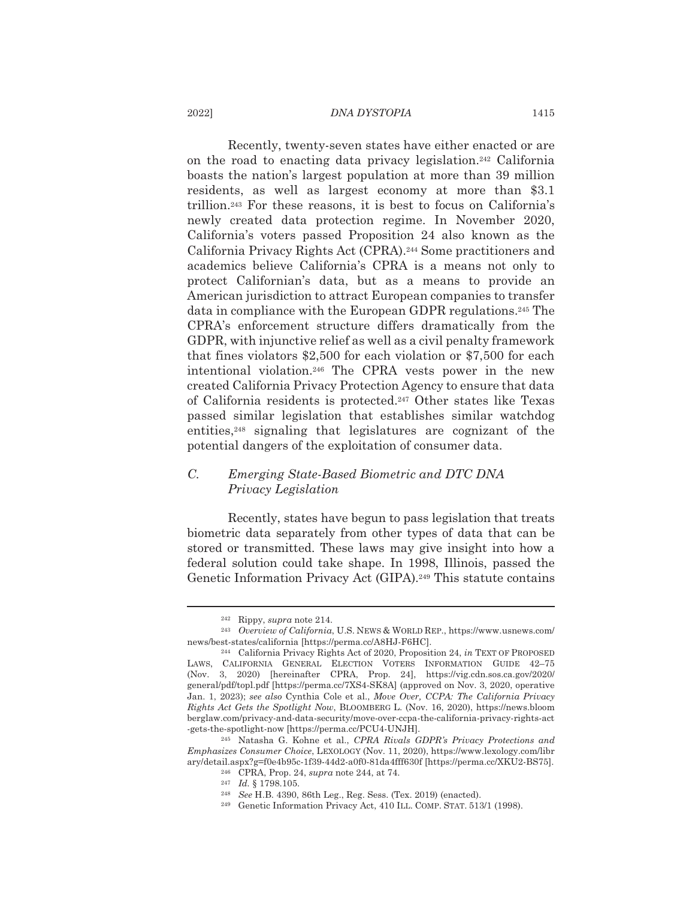### DNA DYSTOPIA

Recently, twenty-seven states have either enacted or are on the road to enacting data privacy legislation.<sup>242</sup> California boasts the nation's largest population at more than 39 million residents, as well as largest economy at more than \$3.1 trillion.<sup>243</sup> For these reasons, it is best to focus on California's newly created data protection regime. In November 2020, California's voters passed Proposition 24 also known as the California Privacy Rights Act (CPRA).<sup>244</sup> Some practitioners and academics believe California's CPRA is a means not only to protect Californian's data, but as a means to provide an American jurisdiction to attract European companies to transfer data in compliance with the European GDPR regulations.<sup>245</sup> The CPRA's enforcement structure differs dramatically from the GDPR, with injunctive relief as well as a civil penalty framework that fines violators \$2,500 for each violation or  $$7,500$  for each intentional violation.<sup>246</sup> The CPRA vests power in the new created California Privacy Protection Agency to ensure that data of California residents is protected.<sup>247</sup> Other states like Texas passed similar legislation that establishes similar watchdog entities,<sup>248</sup> signaling that legislatures are cognizant of the potential dangers of the exploitation of consumer data.

### $C_{\cdot}$ Emerging State-Based Biometric and DTC DNA Privacy Legislation

Recently, states have begun to pass legislation that treats biometric data separately from other types of data that can be stored or transmitted. These laws may give insight into how a federal solution could take shape. In 1998, Illinois, passed the Genetic Information Privacy Act (GIPA).<sup>249</sup> This statute contains

2022]

 $242$  Rippy, supra note 214.

<sup>&</sup>lt;sup>243</sup> Overview of California, U.S. NEWS & WORLD REP., https://www.usnews.com/ news/best-states/california [https://perma.cc/A8HJ-F6HC].

<sup>&</sup>lt;sup>244</sup> California Privacy Rights Act of 2020, Proposition 24, in TEXT OF PROPOSED LAWS, CALIFORNIA GENERAL ELECTION VOTERS INFORMATION GUIDE 42-75  $(Nov. 3, 2020)$  [hereinafter CPRA, Prop. 24], https://vig.cdn.sos.ca.gov/2020/ general/pdf/topl.pdf [https://perma.cc/7XS4-SK8A] (approved on Nov. 3, 2020, operative Jan. 1, 2023); see also Cynthia Cole et al., Move Over, CCPA: The California Privacy Rights Act Gets the Spotlight Now, BLOOMBERG L. (Nov. 16, 2020), https://news.bloom berglaw.com/privacy-and-data-security/move-over-ccpa-the-california-privacy-rights-act -gets-the-spotlight-now [https://perma.cc/PCU4-UNJH].

<sup>&</sup>lt;sup>245</sup> Natasha G. Kohne et al., CPRA Rivals GDPR's Privacy Protections and Emphasizes Consumer Choice, LEXOLOGY (Nov. 11, 2020), https://www.lexology.com/libr ary/detail.aspx?g=f0e4b95c-1f39-44d2-a0f0-81da4fff630f [https://perma.cc/XKU2-BS75].

<sup>&</sup>lt;sup>246</sup> CPRA, Prop. 24, *supra* note 244, at 74.

 $247$  *Id.* § 1798.105.

<sup>&</sup>lt;sup>248</sup> See H.B. 4390, 86th Leg., Reg. Sess. (Tex. 2019) (enacted).

<sup>&</sup>lt;sup>249</sup> Genetic Information Privacy Act, 410 ILL. COMP. STAT. 513/1 (1998).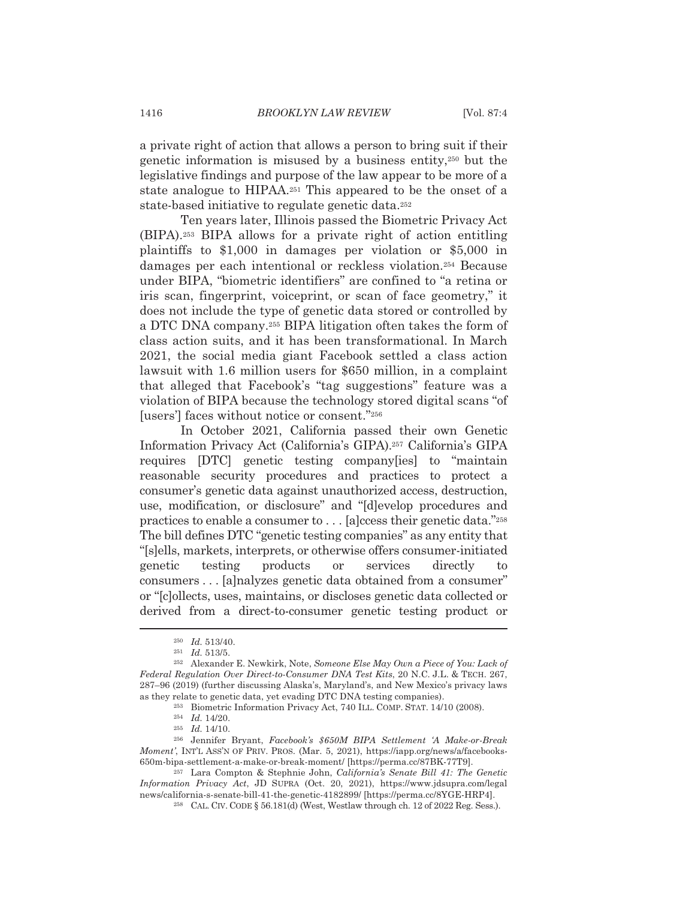a private right of action that allows a person to bring suit if their genetic information is misused by a business entity,<sup>250</sup> but the legislative findings and purpose of the law appear to be more of a state analogue to HIPAA.<sup>251</sup> This appeared to be the onset of a state-based initiative to regulate genetic data.<sup>252</sup>

Ten years later, Illinois passed the Biometric Privacy Act (BIPA).<sup>253</sup> BIPA allows for a private right of action entitling plaintiffs to \$1,000 in damages per violation or \$5,000 in damages per each intentional or reckless violation.<sup>254</sup> Because under BIPA, "biometric identifiers" are confined to "a retina or iris scan, fingerprint, voiceprint, or scan of face geometry," it does not include the type of genetic data stored or controlled by a DTC DNA company.<sup>255</sup> BIPA litigation often takes the form of class action suits, and it has been transformational. In March 2021, the social media giant Facebook settled a class action lawsuit with 1.6 million users for \$650 million, in a complaint that alleged that Facebook's "tag suggestions" feature was a violation of BIPA because the technology stored digital scans "of" [users'] faces without notice or consent."256

In October 2021, California passed their own Genetic Information Privacy Act (California's GIPA).<sup>257</sup> California's GIPA requires [DTC] genetic testing company [ies] to "maintain reasonable security procedures and practices to protect a consumer's genetic data against unauthorized access, destruction, use, modification, or disclosure" and "[d]evelop procedures and practices to enable a consumer to . . . [a]ccess their genetic data."258 The bill defines DTC "genetic testing companies" as any entity that "[slells, markets, interprets, or otherwise offers consumer-initiated genetic testing products or services directly to consumers . . . [a]nalyzes genetic data obtained from a consumer" or "[c] ollects, uses, maintains, or discloses genetic data collected or derived from a direct-to-consumer genetic testing product or

 $250$  *Id.* 513/40.

 $251$  *Id.* 513/5.

<sup>&</sup>lt;sup>252</sup> Alexander E. Newkirk, Note, Someone Else May Own a Piece of You: Lack of Federal Regulation Over Direct-to-Consumer DNA Test Kits, 20 N.C. J.L. & TECH. 267, 287-96 (2019) (further discussing Alaska's, Maryland's, and New Mexico's privacy laws as they relate to genetic data, yet evading DTC DNA testing companies).

<sup>&</sup>lt;sup>253</sup> Biometric Information Privacy Act, 740 ILL. COMP. STAT. 14/10 (2008).

 $254$  *Id.* 14/20.

 $255$  *Id.* 14/10.

<sup>&</sup>lt;sup>256</sup> Jennifer Bryant, Facebook's \$650M BIPA Settlement 'A Make-or-Break Moment', INT'L ASS'N OF PRIV. PROS. (Mar. 5, 2021), https://iapp.org/news/a/facebooks-650m-bipa-settlement-a-make-or-break-moment/ [https://perma.cc/87BK-77T9].

<sup>&</sup>lt;sup>257</sup> Lara Compton & Stephnie John, California's Senate Bill 41: The Genetic Information Privacy Act, JD SUPRA (Oct. 20, 2021), https://www.jdsupra.com/legal news/california-s-senate-bill-41-the-genetic-4182899/ [https://perma.cc/8YGE-HRP4].

<sup>&</sup>lt;sup>258</sup> CAL. CIV. CODE § 56.181(d) (West, Westlaw through ch. 12 of 2022 Reg. Sess.).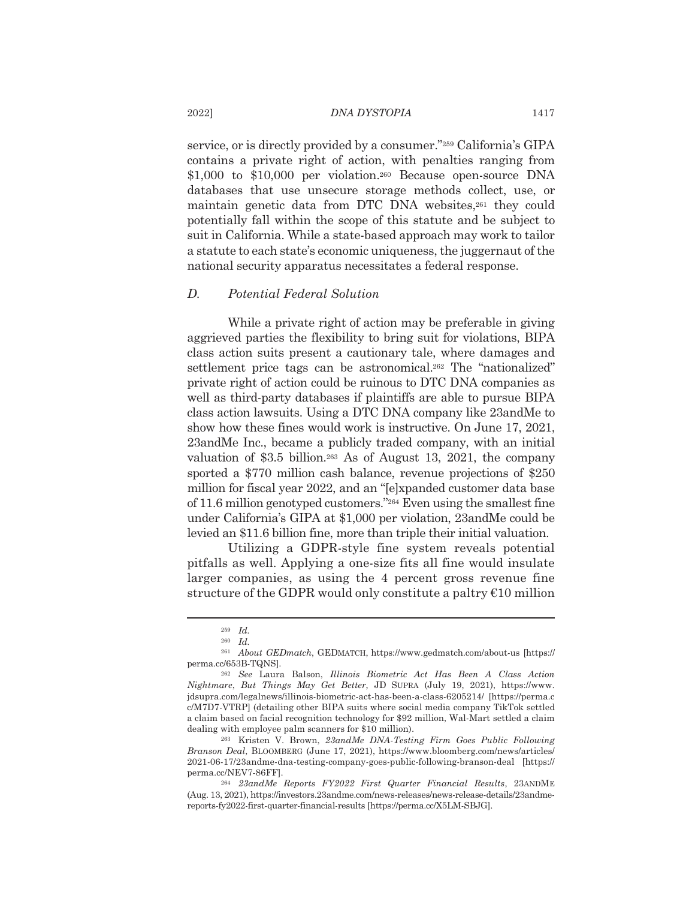service, or is directly provided by a consumer."259 California's GIPA contains a private right of action, with penalties ranging from \$1,000 to \$10,000 per violation.<sup>260</sup> Because open-source DNA databases that use unsecure storage methods collect, use, or maintain genetic data from DTC DNA websites,<sup>261</sup> they could potentially fall within the scope of this statute and be subject to suit in California. While a state-based approach may work to tailor a statute to each state's economic uniqueness, the jugger naut of the national security apparatus necessitates a federal response.

#### $D.$ Potential Federal Solution

While a private right of action may be preferable in giving aggrieved parties the flexibility to bring suit for violations, BIPA class action suits present a cautionary tale, where damages and settlement price tags can be astronomical.<sup>262</sup> The "nationalized" private right of action could be ruinous to DTC DNA companies as well as third-party databases if plaintiffs are able to pursue BIPA class action lawsuits. Using a DTC DNA company like 23andMe to show how these fines would work is instructive. On June 17, 2021, 23andMe Inc., became a publicly traded company, with an initial valuation of \$3.5 billion.<sup>263</sup> As of August 13, 2021, the company sported a \$770 million cash balance, revenue projections of \$250 million for fiscal year 2022, and an "[e]xpanded customer data base of 11.6 million genotyped customers." $264$  Even using the smallest fine under California's GIPA at \$1,000 per violation, 23andMe could be levied an \$11.6 billion fine, more than triple their initial valuation.

Utilizing a GDPR-style fine system reveals potential pitfalls as well. Applying a one-size fits all fine would insulate larger companies, as using the 4 percent gross revenue fine structure of the GDPR would only constitute a paltry  $\epsilon$ 10 million

 $259$  *Id.* 

 $260$  *Id.* 

<sup>&</sup>lt;sup>261</sup> About GEDmatch, GEDMATCH, https://www.gedmatch.com/about-us [https:// perma.cc/653B-TQNS].

<sup>&</sup>lt;sup>262</sup> See Laura Balson, Illinois Biometric Act Has Been A Class Action Nightmare, But Things May Get Better, JD SUPRA (July 19, 2021), https://www. jdsupra.com/legalnews/illinois-biometric-act-has-been-a-class-6205214/ [https://perma.c c/M7D7-VTRP] (detailing other BIPA suits where social media company TikTok settled a claim based on facial recognition technology for \$92 million, Wal-Mart settled a claim dealing with employee palm scanners for \$10 million).

<sup>&</sup>lt;sup>263</sup> Kristen V. Brown, 23andMe DNA-Testing Firm Goes Public Following Branson Deal, BLOOMBERG (June 17, 2021), https://www.bloomberg.com/news/articles/ 2021-06-17/23andme-dna-testing-company-goes-public-following-branson-deal [https:// perma.cc/NEV7-86FF].

<sup>&</sup>lt;sup>264</sup> 23andMe Reports FY2022 First Quarter Financial Results, 23ANDME (Aug. 13, 2021), https://investors.23andme.com/news-releases/news-release-details/23andmereports-fy2022-first-quarter-financial-results [https://perma.cc/X5LM-SBJG].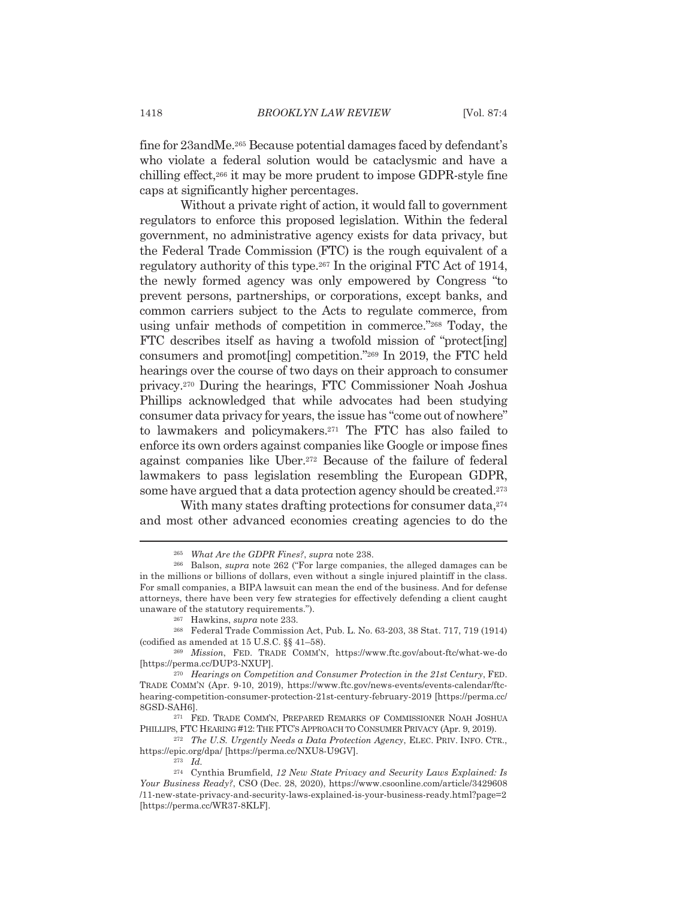fine for 23andMe.<sup>265</sup> Because potential damages faced by defendant's who violate a federal solution would be cataclysmic and have a chilling effect,<sup>266</sup> it may be more prudent to impose GDPR-style fine caps at significantly higher percentages.

Without a private right of action, it would fall to government regulators to enforce this proposed legislation. Within the federal government, no administrative agency exists for data privacy, but the Federal Trade Commission (FTC) is the rough equivalent of a regulatory authority of this type.<sup>267</sup> In the original FTC Act of 1914, the newly formed agency was only empowered by Congress "to prevent persons, partnerships, or corporations, except banks, and common carriers subject to the Acts to regulate commerce, from using unfair methods of competition in commerce."268 Today, the FTC describes itself as having a twofold mission of "protect [ing] consumers and promot[ing] competition."269 In 2019, the FTC held hearings over the course of two days on their approach to consumer privacy.<sup>270</sup> During the hearings, FTC Commissioner Noah Joshua Phillips acknowledged that while advocates had been studying consumer data privacy for years, the issue has "come out of nowhere" to lawmakers and policymakers.<sup>271</sup> The FTC has also failed to enforce its own orders against companies like Google or impose fines against companies like Uber.<sup>272</sup> Because of the failure of federal lawmakers to pass legislation resembling the European GDPR, some have argued that a data protection agency should be created.<sup>273</sup>

With many states drafting protections for consumer data,<sup>274</sup> and most other advanced economies creating agencies to do the

<sup>&</sup>lt;sup>265</sup> What Are the GDPR Fines?, supra note 238.

<sup>&</sup>lt;sup>266</sup> Balson, *supra* note 262 ("For large companies, the alleged damages can be in the millions or billions of dollars, even without a single injured plaintiff in the class. For small companies, a BIPA lawsuit can mean the end of the business. And for defense attorneys, there have been very few strategies for effectively defending a client caught unaware of the statutory requirements.").

<sup>&</sup>lt;sup>267</sup> Hawkins, *supra* note 233.

<sup>&</sup>lt;sup>268</sup> Federal Trade Commission Act, Pub. L. No. 63-203, 38 Stat. 717, 719 (1914) (codified as amended at 15 U.S.C. §§ 41-58).

<sup>&</sup>lt;sup>269</sup> Mission, FED. TRADE COMM'N, https://www.ftc.gov/about-ftc/what-we-do [https://perma.cc/DUP3-NXUPl.

<sup>&</sup>lt;sup>270</sup> Hearings on Competition and Consumer Protection in the 21st Century, FED. TRADE COMM'N (Apr. 9-10, 2019), https://www.ftc.gov/news-events/events-calendar/ftchearing-competition-consumer-protection-21st-century-february-2019 [https://perma.cc/ 8GSD-SAH6].

<sup>&</sup>lt;sup>271</sup> FED. TRADE COMM'N, PREPARED REMARKS OF COMMISSIONER NOAH JOSHUA PHILLIPS, FTC HEARING #12: THE FTC'S APPROACH TO CONSUMER PRIVACY (Apr. 9, 2019).

<sup>&</sup>lt;sup>272</sup> The U.S. Urgently Needs a Data Protection Agency, ELEC. PRIV. INFO. CTR., https://epic.org/dpa/ [https://perma.cc/NXU8-U9GV].

 $273$  *Id.* 

<sup>&</sup>lt;sup>274</sup> Cynthia Brumfield, 12 New State Privacy and Security Laws Explained: Is Your Business Ready?, CSO (Dec. 28, 2020), https://www.csoonline.com/article/3429608 /11-new-state-privacy-and-security-laws-explained-is-your-business-ready.html?page=2 [https://perma.cc/WR37-8KLF].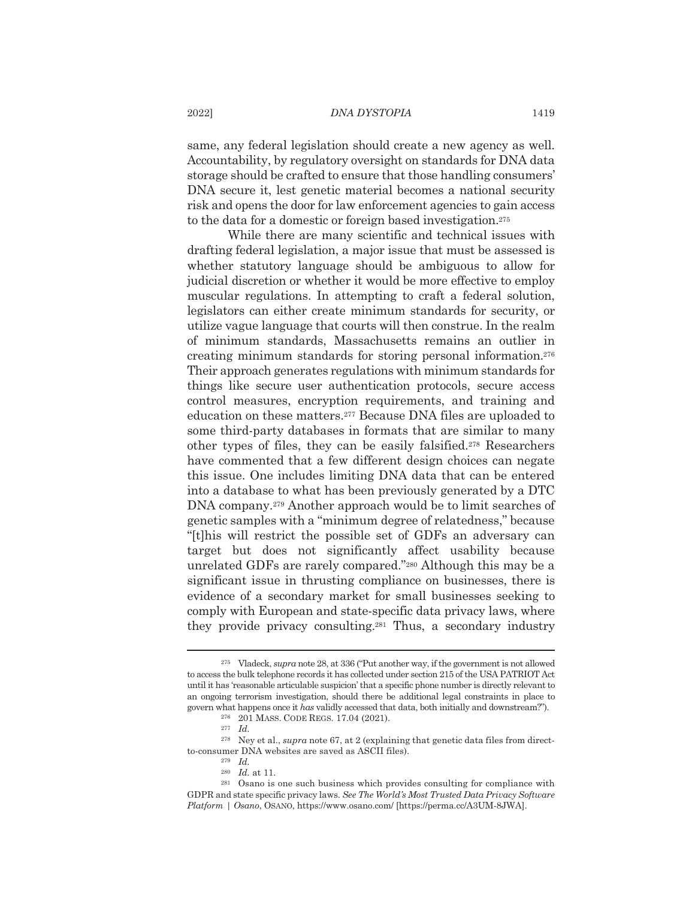same, any federal legislation should create a new agency as well. Accountability, by regulatory oversight on standards for DNA data storage should be crafted to ensure that those handling consumers' DNA secure it, lest genetic material becomes a national security risk and opens the door for law enforcement agencies to gain access to the data for a domestic or foreign based investigation.<sup>275</sup>

While there are many scientific and technical issues with drafting federal legislation, a major issue that must be assessed is whether statutory language should be ambiguous to allow for judicial discretion or whether it would be more effective to employ muscular regulations. In attempting to craft a federal solution, legislators can either create minimum standards for security, or utilize vague language that courts will then construe. In the realm of minimum standards, Massachusetts remains an outlier in creating minimum standards for storing personal information.<sup>276</sup> Their approach generates regulations with minimum standards for things like secure user authentication protocols, secure access control measures, encryption requirements, and training and education on these matters.<sup>277</sup> Because DNA files are uploaded to some third-party databases in formats that are similar to many other types of files, they can be easily falsified.<sup>278</sup> Researchers have commented that a few different design choices can negate this issue. One includes limiting DNA data that can be entered into a database to what has been previously generated by a DTC DNA company.<sup>279</sup> Another approach would be to limit searches of genetic samples with a "minimum degree of relatedness," because "[t] this will restrict the possible set of GDFs an adversary can target but does not significantly affect usability because unrelated GDFs are rarely compared."<sup>280</sup> Although this may be a significant issue in thrusting compliance on businesses, there is evidence of a secondary market for small businesses seeking to comply with European and state-specific data privacy laws, where they provide privacy consulting.<sup>281</sup> Thus, a secondary industry

 $275$  Vladeck, supra note 28, at 336 ("Put another way, if the government is not allowed to access the bulk telephone records it has collected under section 215 of the USA PATRIOT Act until it has 'reasonable articulable suspicion' that a specific phone number is directly relevant to an ongoing terrorism investigation, should there be additional legal constraints in place to govern what happens once it has validly accessed that data, both initially and downstream?").

<sup>&</sup>lt;sup>276</sup> 201 MASS. CODE REGS. 17.04 (2021).

 $277$  *Id.* 

<sup>&</sup>lt;sup>278</sup> Ney et al., *supra* note 67, at 2 (explaining that genetic data files from directto-consumer DNA websites are saved as ASCII files).

 $279$  *Id.* 

 $^{\rm 280}$   $\,$   $\rm Id.$  at 11.

<sup>&</sup>lt;sup>281</sup> Osano is one such business which provides consulting for compliance with GDPR and state specific privacy laws. See The World's Most Trusted Data Privacy Software Platform | Osano, OSANO, https://www.osano.com/ [https://perma.cc/A3UM-8JWA].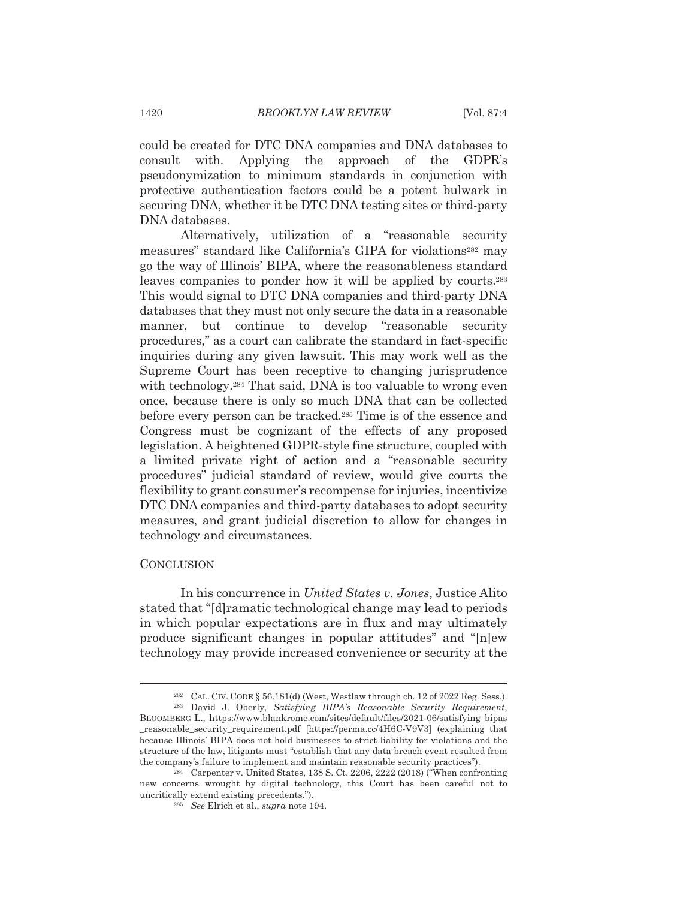could be created for DTC DNA companies and DNA databases to Applying the approach of the consult with. GDPR's pseudonymization to minimum standards in conjunction with protective authentication factors could be a potent bulwark in securing DNA, whether it be DTC DNA testing sites or third-party DNA databases.

Alternatively, utilization of a "reasonable security measures" standard like California's GIPA for violations<sup>282</sup> may go the way of Illinois' BIPA, where the reasonableness standard leaves companies to ponder how it will be applied by courts.<sup>283</sup> This would signal to DTC DNA companies and third-party DNA databases that they must not only secure the data in a reasonable manner, but continue to develop "reasonable security procedures," as a court can calibrate the standard in fact-specific inquiries during any given lawsuit. This may work well as the Supreme Court has been receptive to changing jurisprudence with technology.<sup>284</sup> That said, DNA is too valuable to wrong even once, because there is only so much DNA that can be collected before every person can be tracked.<sup>285</sup> Time is of the essence and Congress must be cognizant of the effects of any proposed legislation. A heightened GDPR-style fine structure, coupled with a limited private right of action and a "reasonable security procedures" judicial standard of review, would give courts the flexibility to grant consumer's recompense for injuries, incentivize DTC DNA companies and third-party databases to adopt security measures, and grant judicial discretion to allow for changes in technology and circumstances.

## **CONCLUSION**

In his concurrence in *United States v. Jones*, Justice Alito stated that "[d] ramatic technological change may lead to periods in which popular expectations are in flux and may ultimately produce significant changes in popular attitudes" and "Inlew technology may provide increased convenience or security at the

<sup>&</sup>lt;sup>282</sup> CAL. CIV. CODE § 56.181(d) (West, Westlaw through ch. 12 of 2022 Reg. Sess.).

<sup>&</sup>lt;sup>283</sup> David J. Oberly, Satisfying BIPA's Reasonable Security Requirement, BLOOMBERG L., https://www.blankrome.com/sites/default/files/2021-06/satisfying\_bipas \_reasonable\_security\_requirement.pdf [https://perma.cc/4H6C-V9V3] (explaining that because Illinois' BIPA does not hold businesses to strict liability for violations and the structure of the law, litigants must "establish that any data breach event resulted from the company's failure to implement and maintain reasonable security practices").

<sup>&</sup>lt;sup>284</sup> Carpenter v. United States, 138 S. Ct. 2206, 2222 (2018) ("When confronting new concerns wrought by digital technology, this Court has been careful not to uncritically extend existing precedents.").

<sup>&</sup>lt;sup>285</sup> See Elrich et al., supra note 194.